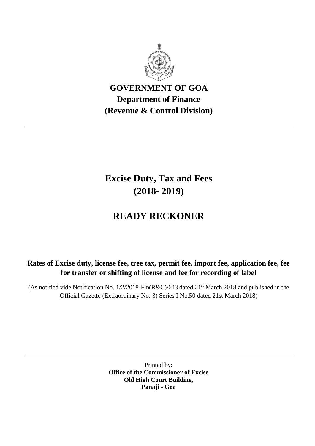

**GOVERNMENT OF GOA Department of Finance (Revenue & Control Division)**

**Excise Duty, Tax and Fees (2018- 2019)**

# **READY RECKONER**

**Rates of Excise duty, license fee, tree tax, permit fee, import fee, application fee, fee for transfer or shifting of license and fee for recording of label**

(As notified vide Notification No.  $1/2/2018$ -Fin(R&C)/643 dated  $21<sup>st</sup>$  March 2018 and published in the Official Gazette (Extraordinary No. 3) Series I No.50 dated 21st March 2018)

> Printed by: **Office of the Commissioner of Excise Old High Court Building, Panaji - Goa**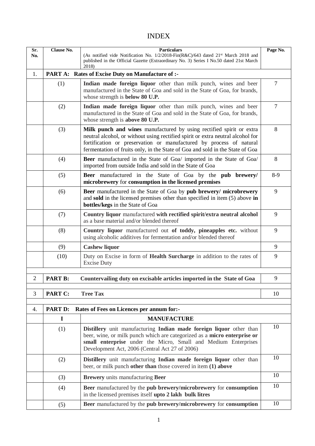# INDEX

| Sr.<br>No.     | <b>Clause No.</b>                                                                                                                   | <b>Particulars</b><br>(As notified vide Notification No. 1/2/2018-Fin(R&C)/643 dated 21 <sup>st</sup> March 2018 and<br>published in the Official Gazette (Extraordinary No. 3) Series I No.50 dated 21st March<br>2018)                                                                                        |                |  |  |  |  |
|----------------|-------------------------------------------------------------------------------------------------------------------------------------|-----------------------------------------------------------------------------------------------------------------------------------------------------------------------------------------------------------------------------------------------------------------------------------------------------------------|----------------|--|--|--|--|
| 1.             | PART A:                                                                                                                             | <b>Rates of Excise Duty on Manufacture of :-</b>                                                                                                                                                                                                                                                                |                |  |  |  |  |
|                | (1)                                                                                                                                 | Indian made foreign liquor other than milk punch, wines and beer<br>manufactured in the State of Goa and sold in the State of Goa, for brands,<br>whose strength is below 80 U.P.                                                                                                                               | $\overline{7}$ |  |  |  |  |
| (2)            |                                                                                                                                     | Indian made foreign liquor other than milk punch, wines and beer<br>manufactured in the State of Goa and sold in the State of Goa, for brands,<br>whose strength is above 80 U.P.                                                                                                                               |                |  |  |  |  |
|                | (3)                                                                                                                                 | Milk punch and wines manufactured by using rectified spirit or extra<br>neutral alcohol, or without using rectified spirit or extra neutral alcohol for<br>fortification or preservation or manufactured by process of natural<br>fermentation of fruits only, in the State of Goa and sold in the State of Goa | 8              |  |  |  |  |
|                | (4)                                                                                                                                 | Beer manufactured in the State of Goa/ imported in the State of Goa/<br>imported from outside India and sold in the State of Goa                                                                                                                                                                                | 8              |  |  |  |  |
|                | (5)                                                                                                                                 | Beer manufactured in the State of Goa by the pub brewery/<br>microbrewery for consumption in the licensed premises                                                                                                                                                                                              | $8-9$          |  |  |  |  |
| (6)            |                                                                                                                                     | Beer manufactured in the State of Goa by pub brewery/ microbrewery<br>and sold in the licensed premises other than specified in item $(5)$ above in<br>bottles/kegs in the State of Goa                                                                                                                         | 9              |  |  |  |  |
|                | Country liquor manufactured with rectified spirit/extra neutral alcohol<br>(7)<br>as a base material and/or blended thereof         |                                                                                                                                                                                                                                                                                                                 | 9              |  |  |  |  |
|                | (8)                                                                                                                                 | Country liquor manufactured out of toddy, pineapples etc. without<br>using alcoholic additives for fermentation and/or blended thereof                                                                                                                                                                          |                |  |  |  |  |
|                | (9)                                                                                                                                 | <b>Cashew liquor</b>                                                                                                                                                                                                                                                                                            | 9              |  |  |  |  |
|                | (10)<br>Duty on Excise in form of Health Surcharge in addition to the rates of<br><b>Excise Duty</b>                                |                                                                                                                                                                                                                                                                                                                 | 9              |  |  |  |  |
| $\overline{2}$ | <b>PART B:</b>                                                                                                                      | Countervailing duty on excisable articles imported in the State of Goa                                                                                                                                                                                                                                          | 9              |  |  |  |  |
|                |                                                                                                                                     |                                                                                                                                                                                                                                                                                                                 |                |  |  |  |  |
| 3              | PART C:                                                                                                                             | <b>Tree Tax</b>                                                                                                                                                                                                                                                                                                 | 10             |  |  |  |  |
| 4.             | PART D:                                                                                                                             | Rates of Fees on Licences per annum for:-                                                                                                                                                                                                                                                                       |                |  |  |  |  |
|                | 1                                                                                                                                   | <b>MANUFACTURE</b>                                                                                                                                                                                                                                                                                              |                |  |  |  |  |
|                | (1)                                                                                                                                 | Distillery unit manufacturing Indian made foreign liquor other than<br>beer, wine, or milk punch which are categorized as a micro enterprise or<br>small enterprise under the Micro, Small and Medium Enterprises<br>Development Act, 2006 (Central Act 27 of 2006)                                             | 10             |  |  |  |  |
|                | (2)                                                                                                                                 | Distillery unit manufacturing Indian made foreign liquor other than<br>beer, or milk punch other than those covered in item (1) above                                                                                                                                                                           | 10             |  |  |  |  |
|                | (3)                                                                                                                                 | <b>Brewery</b> units manufacturing Beer                                                                                                                                                                                                                                                                         |                |  |  |  |  |
|                | Beer manufactured by the pub brewery/microbrewery for consumption<br>(4)<br>in the licensed premises itself upto 2 lakh bulk litres |                                                                                                                                                                                                                                                                                                                 |                |  |  |  |  |
|                | (5)                                                                                                                                 | Beer manufactured by the pub brewery/microbrewery for consumption                                                                                                                                                                                                                                               | 10             |  |  |  |  |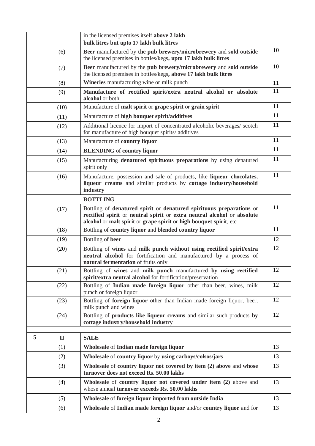|   |              | in the licensed premises itself above 2 lakh                                                                                                                                                                          |    |
|---|--------------|-----------------------------------------------------------------------------------------------------------------------------------------------------------------------------------------------------------------------|----|
|   |              | bulk litres but upto 17 lakh bulk litres                                                                                                                                                                              |    |
|   | (6)          | Beer manufactured by the pub brewery/microbrewery and sold outside<br>the licensed premises in bottles/kegs, upto 17 lakh bulk litres                                                                                 | 10 |
|   | (7)          | Beer manufactured by the pub brewery/microbrewery and sold outside<br>the licensed premises in bottles/kegs, above 17 lakh bulk litres                                                                                | 10 |
|   | (8)          | <b>Wineries</b> manufacturing wine or milk punch                                                                                                                                                                      | 11 |
|   | (9)          | Manufacture of rectified spirit/extra neutral alcohol or absolute<br>alcohol or both                                                                                                                                  |    |
|   | (10)         | Manufacture of malt spirit or grape spirit or grain spirit                                                                                                                                                            | 11 |
|   | (11)         | Manufacture of high bouquet spirit/additives                                                                                                                                                                          | 11 |
|   | (12)         | Additional licence for import of concentrated alcoholic beverages/ scotch<br>for manufacture of high bouquet spirits/additives                                                                                        | 11 |
|   | (13)         | Manufacture of country liquor                                                                                                                                                                                         | 11 |
|   | (14)         | <b>BLENDING</b> of country liquor                                                                                                                                                                                     | 11 |
|   | (15)         | Manufacturing denatured spirituous preparations by using denatured<br>spirit only                                                                                                                                     | 11 |
|   | (16)         | Manufacture, possession and sale of products, like liqueur chocolates,<br>liqueur creams and similar products by cottage industry/household<br>industry                                                               | 11 |
|   |              | <b>BOTTLING</b>                                                                                                                                                                                                       |    |
|   | (17)         | Bottling of denatured spirit or denatured spirituous preparations or<br>rectified spirit or neutral spirit or extra neutral alcohol or absolute<br>alcohol or malt spirit or grape spirit or high bouquet spirit, etc | 11 |
|   | (18)         | Bottling of country liquor and blended country liquor                                                                                                                                                                 | 11 |
|   | (19)         | Bottling of beer                                                                                                                                                                                                      | 12 |
|   | (20)         | Bottling of wines and milk punch without using rectified spirit/extra<br>neutral alcohol for fortification and manufactured by a process of<br>natural fermentation of fruits only                                    | 12 |
|   | (21)         | Bottling of wines and milk punch manufactured by using rectified<br>spirit/extra neutral alcohol for fortification/preservation                                                                                       | 12 |
|   | (22)         | Bottling of Indian made foreign liquor other than beer, wines, milk<br>punch or foreign liquor                                                                                                                        | 12 |
|   | (23)         | Bottling of foreign liquor other than Indian made foreign liquor, beer,<br>milk punch and wines                                                                                                                       | 12 |
|   | (24)         | Bottling of <b>products like liqueur creams</b> and similar such products by<br>cottage industry/household industry                                                                                                   | 12 |
|   |              |                                                                                                                                                                                                                       |    |
| 5 | $\mathbf{I}$ | <b>SALE</b>                                                                                                                                                                                                           |    |
|   | (1)          | Wholesale of Indian made foreign liquor                                                                                                                                                                               | 13 |
|   | (2)          | Wholesale of country liquor by using carboys/colsos/jars                                                                                                                                                              | 13 |
|   | (3)          | Wholesale of country liquor not covered by item (2) above and whose<br>turnover does not exceed Rs. 50.00 lakhs                                                                                                       | 13 |
|   | (4)          | Wholesale of country liquor not covered under item (2) above and<br>whose annual turnover exceeds Rs. 50.00 lakhs                                                                                                     | 13 |
|   | (5)          | Wholesale of foreign liquor imported from outside India                                                                                                                                                               | 13 |
|   | (6)          | Wholesale of Indian made foreign liquor and/or country liquor and for                                                                                                                                                 | 13 |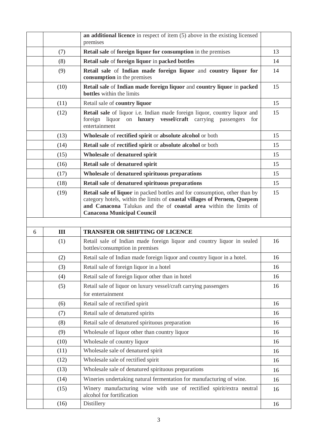|   |      | an additional licence in respect of item (5) above in the existing licensed<br>premises                                                                                                                                                                                 |    |
|---|------|-------------------------------------------------------------------------------------------------------------------------------------------------------------------------------------------------------------------------------------------------------------------------|----|
|   | (7)  | Retail sale of foreign liquor for consumption in the premises                                                                                                                                                                                                           | 13 |
|   | (8)  | Retail sale of foreign liquor in packed bottles                                                                                                                                                                                                                         | 14 |
|   | (9)  | Retail sale of Indian made foreign liquor and country liquor for<br>consumption in the premises                                                                                                                                                                         | 14 |
|   | (10) | Retail sale of Indian made foreign liquor and country liquor in packed<br><b>bottles</b> within the limits                                                                                                                                                              | 15 |
|   | (11) | Retail sale of country liquor                                                                                                                                                                                                                                           | 15 |
|   | (12) | Retail sale of liquor i.e. Indian made foreign liquor, country liquor and<br>foreign liquor on <b>luxury</b> vessel/craft carrying passengers<br>for<br>entertainment                                                                                                   | 15 |
|   | (13) | Wholesale of rectified spirit or absolute alcohol or both                                                                                                                                                                                                               | 15 |
|   | (14) | Retail sale of rectified spirit or absolute alcohol or both                                                                                                                                                                                                             | 15 |
|   | (15) | Wholesale of denatured spirit                                                                                                                                                                                                                                           | 15 |
|   | (16) | Retail sale of denatured spirit                                                                                                                                                                                                                                         | 15 |
|   | (17) | Wholesale of denatured spirituous preparations                                                                                                                                                                                                                          | 15 |
|   | (18) | Retail sale of denatured spirituous preparations                                                                                                                                                                                                                        | 15 |
|   | (19) | <b>Retail sale of liquor</b> in packed bottles and for consumption, other than by<br>category hotels, within the limits of coastal villages of Pernem, Quepem<br>and Canacona Talukas and the of coastal area within the limits of<br><b>Canacona Municipal Council</b> | 15 |
|   |      |                                                                                                                                                                                                                                                                         |    |
|   |      |                                                                                                                                                                                                                                                                         |    |
| 6 | III  | <b>TRANSFER OR SHIFTING OF LICENCE</b>                                                                                                                                                                                                                                  |    |
|   | (1)  | Retail sale of Indian made foreign liquor and country liquor in sealed<br>bottles/consumption in premises                                                                                                                                                               | 16 |
|   | (2)  | Retail sale of Indian made foreign liquor and country liquor in a hotel.                                                                                                                                                                                                | 16 |
|   | (3)  | Retail sale of foreign liquor in a hotel                                                                                                                                                                                                                                | 16 |
|   | (4)  | Retail sale of foreign liquor other than in hotel                                                                                                                                                                                                                       | 16 |
|   | (5)  | Retail sale of liquor on luxury vessel/craft carrying passengers<br>for entertainment                                                                                                                                                                                   | 16 |
|   | (6)  | Retail sale of rectified spirit                                                                                                                                                                                                                                         | 16 |
|   | (7)  | Retail sale of denatured spirits                                                                                                                                                                                                                                        | 16 |
|   | (8)  | Retail sale of denatured spirituous preparation                                                                                                                                                                                                                         | 16 |
|   | (9)  | Wholesale of liquor other than country liquor                                                                                                                                                                                                                           | 16 |
|   | (10) | Wholesale of country liquor                                                                                                                                                                                                                                             | 16 |
|   | (11) | Wholesale sale of denatured spirit                                                                                                                                                                                                                                      | 16 |
|   | (12) | Wholesale sale of rectified spirit                                                                                                                                                                                                                                      | 16 |
|   | (13) | Wholesale sale of denatured spirituous preparations                                                                                                                                                                                                                     | 16 |
|   | (14) | Wineries undertaking natural fermentation for manufacturing of wine.                                                                                                                                                                                                    | 16 |
|   | (15) | Winery manufacturing wine with use of rectified spirit/extra neutral<br>alcohol for fortification                                                                                                                                                                       | 16 |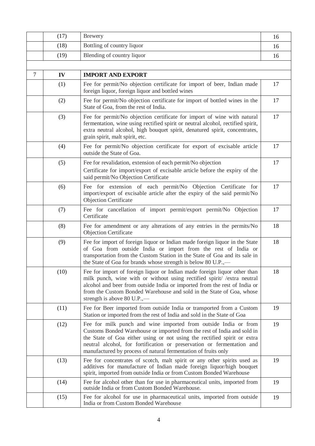|                | (17) | <b>Brewery</b>                                                                                                                                                                                                                                                                                                                                                     | 16 |
|----------------|------|--------------------------------------------------------------------------------------------------------------------------------------------------------------------------------------------------------------------------------------------------------------------------------------------------------------------------------------------------------------------|----|
|                | (18) | Bottling of country liquor                                                                                                                                                                                                                                                                                                                                         | 16 |
|                | (19) | Blending of country liquor                                                                                                                                                                                                                                                                                                                                         | 16 |
|                |      |                                                                                                                                                                                                                                                                                                                                                                    |    |
| $\overline{7}$ | IV   | <b>IMPORT AND EXPORT</b>                                                                                                                                                                                                                                                                                                                                           |    |
|                | (1)  | Fee for permit/No objection certificate for import of beer, Indian made<br>foreign liquor, foreign liquor and bottled wines                                                                                                                                                                                                                                        | 17 |
|                | (2)  | Fee for permit/No objection certificate for import of bottled wines in the<br>State of Goa, from the rest of India.                                                                                                                                                                                                                                                | 17 |
|                | (3)  | Fee for permit/No objection certificate for import of wine with natural<br>fermentation, wine using rectified spirit or neutral alcohol, rectified spirit,<br>extra neutral alcohol, high bouquet spirit, denatured spirit, concentrates,<br>grain spirit, malt spirit, etc.                                                                                       | 17 |
|                | (4)  | Fee for permit/No objection certificate for export of excisable article<br>outside the State of Goa.                                                                                                                                                                                                                                                               | 17 |
|                | (5)  | Fee for revalidation, extension of each permit/No objection<br>Certificate for import/export of excisable article before the expiry of the<br>said permit/No Objection Certificate                                                                                                                                                                                 | 17 |
|                | (6)  | Fee for extension of each permit/No Objection Certificate for<br>import/export of excisable article after the expiry of the said permit/No<br>Objection Certificate                                                                                                                                                                                                | 17 |
|                | (7)  | Fee for cancellation of import permit/export permit/No Objection<br>Certificate                                                                                                                                                                                                                                                                                    | 17 |
|                | (8)  | Fee for amendment or any alterations of any entries in the permits/No<br>Objection Certificate                                                                                                                                                                                                                                                                     | 18 |
|                | (9)  | Fee for import of foreign liquor or Indian made foreign liquor in the State<br>of Goa from outside India or import from the rest of India or<br>transportation from the Custom Station in the State of Goa and its sale in<br>the State of Goa for brands whose strength is below 80 U.P.,—                                                                        | 18 |
|                | (10) | Fee for import of foreign liquor or Indian made foreign liquor other than<br>milk punch, wine with or without using rectified spirit/ /extra neutral<br>alcohol and beer from outside India or imported from the rest of India or<br>from the Custom Bonded Warehouse and sold in the State of Goa, whose<br>strength is above 80 U.P.,—                           | 18 |
|                | (11) | Fee for Beer imported from outside India or transported from a Custom<br>Station or imported from the rest of India and sold in the State of Goa                                                                                                                                                                                                                   | 19 |
|                | (12) | Fee for milk punch and wine imported from outside India or from<br>Customs Bonded Warehouse or imported from the rest of India and sold in<br>the State of Goa either using or not using the rectified spirit or extra<br>neutral alcohol, for fortification or preservation or fermentation and<br>manufactured by process of natural fermentation of fruits only | 19 |
|                | (13) | Fee for concentrates of scotch, malt spirit or any other spirits used as<br>additives for manufacture of Indian made foreign liquor/high bouquet<br>spirit, imported from outside India or from Custom Bonded Warehouse                                                                                                                                            | 19 |
|                | (14) | Fee for alcohol other than for use in pharmaceutical units, imported from<br>outside India or from Custom Bonded Warehouse.                                                                                                                                                                                                                                        | 19 |
|                | (15) | Fee for alcohol for use in pharmaceutical units, imported from outside<br>India or from Custom Bonded Warehouse                                                                                                                                                                                                                                                    | 19 |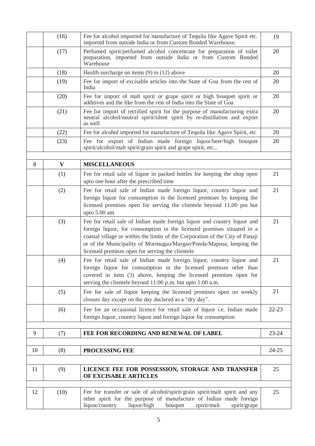|    | (16) | Fee for alcohol imported for manufacture of Tequila like Agave Spirit etc.<br>imported from outside India or from Custom Bonded Warehouse.                                                                                                                                                                                                                     | 19        |
|----|------|----------------------------------------------------------------------------------------------------------------------------------------------------------------------------------------------------------------------------------------------------------------------------------------------------------------------------------------------------------------|-----------|
|    | (17) | Perfumed spirit/perfumed alcohol concentrate for preparation of toilet<br>preparation, imported from outside India or from Custom Bonded<br>Warehouse                                                                                                                                                                                                          | 20        |
|    | (18) | Health surcharge on items $(9)$ to $(12)$ above                                                                                                                                                                                                                                                                                                                | 20        |
|    | (19) | Fee for import of excisable articles into the State of Goa from the rest of<br>India                                                                                                                                                                                                                                                                           | 20        |
|    | (20) | Fee for import of malt spirit or grape spirit or high bouquet spirit or<br>additives and the like from the rest of India into the State of Goa                                                                                                                                                                                                                 | 20        |
|    | (21) | Fee for import of rectified spirit for the purpose of manufacturing extra<br>neutral alcohol/neutral spirit/silent spirit by re-distillation and export<br>as well                                                                                                                                                                                             | 20        |
|    | (22) | Fee for alcohol imported for manufacture of Tequila like Agave Spirit, etc.                                                                                                                                                                                                                                                                                    | 20        |
|    | (23) | Fee for export of Indian made foreign liquor/beer/high bouquet<br>spirit/alcohol/malt spirit/grain spirit and grape spirit, etc.,                                                                                                                                                                                                                              | 20        |
|    |      |                                                                                                                                                                                                                                                                                                                                                                |           |
| 8  | V    | <b>MISCELLANEOUS</b>                                                                                                                                                                                                                                                                                                                                           |           |
|    | (1)  | Fee for retail sale of liquor in packed bottles for keeping the shop open<br>upto one hour after the prescribed time                                                                                                                                                                                                                                           | 21        |
|    | (2)  | Fee for retail sale of Indian made foreign liquor, country liquor and<br>foreign liquor for consumption in the licensed premises by keeping the<br>licensed premises open for serving the clientele beyond 11.00 pm but<br>upto 5.00 am                                                                                                                        | 21        |
|    | (3)  | Fee for retail sale of Indian made foreign liquor and country liquor and<br>foreign liquor, for consumption in the licensed premises situated in a<br>coastal village or within the limits of the Corporation of the City of Panaji<br>or of the Municipality of Mormugao/Margao/Ponda/Mapusa, keeping the<br>licensed premises open for serving the clientele | 21        |
|    | (4)  | Fee for retail sale of Indian made foreign liquor, country liquor and<br>foreign liquor for consumption in the licensed premises other than<br>covered in item (3) above, keeping the licensed premises open for<br>serving the clientele beyond 11:00 p.m. but upto 1:00 a.m.                                                                                 | 21        |
|    | (5)  | Fee for sale of liquor keeping the licensed premises open on weekly<br>closure day except on the day declared as a "dry day".                                                                                                                                                                                                                                  | 21        |
|    | (6)  | Fee for an occasional licence for retail sale of liquor i.e. Indian made<br>foreign liquor, country liquor and foreign liquor for consumption                                                                                                                                                                                                                  | $22 - 23$ |
| 9  | (7)  | FEE FOR RECORDING AND RENEWAL OF LABEL                                                                                                                                                                                                                                                                                                                         | $23 - 24$ |
|    |      |                                                                                                                                                                                                                                                                                                                                                                |           |
| 10 | (8)  | PROCESSING FEE                                                                                                                                                                                                                                                                                                                                                 | $24 - 25$ |
|    |      |                                                                                                                                                                                                                                                                                                                                                                |           |
| 11 | (9)  | LICENCE FEE FOR POSSESSION, STORAGE AND TRANSFER<br>OF EXCISABLE ARTICLES                                                                                                                                                                                                                                                                                      | 25        |
|    |      |                                                                                                                                                                                                                                                                                                                                                                |           |
| 12 | (10) | Fee for transfer or sale of alcohol/spirit/grain spirit/malt spirit and any<br>other spirit for the purpose of manufacture of Indian made foreign<br>liquor/country<br>liquor/high<br>bouquet<br>spirit/malt<br>spirit/grape                                                                                                                                   | 25        |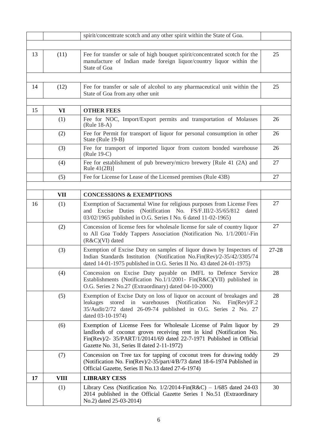|    |             | spirit/concentrate scotch and any other spirit within the State of Goa.                                                                                                                                                                                         |       |
|----|-------------|-----------------------------------------------------------------------------------------------------------------------------------------------------------------------------------------------------------------------------------------------------------------|-------|
|    |             |                                                                                                                                                                                                                                                                 |       |
| 13 | (11)        | Fee for transfer or sale of high bouquet spirit/concentrated scotch for the<br>manufacture of Indian made foreign liquor/country liquor within the<br>State of Goa                                                                                              | 25    |
|    |             |                                                                                                                                                                                                                                                                 |       |
| 14 | (12)        | Fee for transfer or sale of alcohol to any pharmaceutical unit within the<br>State of Goa from any other unit                                                                                                                                                   | 25    |
|    |             |                                                                                                                                                                                                                                                                 |       |
| 15 | VI          | <b>OTHER FEES</b>                                                                                                                                                                                                                                               |       |
|    | (1)         | Fee for NOC, Import/Export permits and transportation of Molasses<br>$(Rule 18-A)$                                                                                                                                                                              | 26    |
|    | (2)         | Fee for Permit for transport of liquor for personal consumption in other<br>State (Rule 19-B)                                                                                                                                                                   | 26    |
|    | (3)         | Fee for transport of imported liquor from custom bonded warehouse<br>(Rule 19-C)                                                                                                                                                                                | 26    |
|    | (4)         | Fee for establishment of pub brewery/micro brewery [Rule 41 (2A) and<br>Rule $41(2B)$ ]                                                                                                                                                                         | 27    |
|    | (5)         | Fee for License for Lease of the Licensed premises (Rule 43B)                                                                                                                                                                                                   | 27    |
|    |             |                                                                                                                                                                                                                                                                 |       |
|    | VII         | <b>CONCESSIONS &amp; EXEMPTIONS</b>                                                                                                                                                                                                                             |       |
| 16 | (1)         | Exemption of Sacramental Wine for religious purposes from License Fees<br>and Excise Duties (Notification No. FS/F.III/2-35/65/812<br>dated<br>03/02/1965 published in O.G. Series I No. 6 dated 11-02-1965)                                                    | 27    |
|    | (2)         | Concession of license fees for wholesale license for sale of country liquor<br>to All Goa Toddy Tappers Association (Notification No. 1/1/2001/-Fin<br>$(R&C)(VI)$ dated                                                                                        | 27    |
|    | (3)         | Exemption of Excise Duty on samples of liquor drawn by Inspectors of<br>Indian Standards Institution (Notification No.Fin(Rev)/2-35/42/3305/74<br>dated 14-01-1975 published in O.G. Series II No. 43 dated 24-01-1975)                                         | 27-28 |
|    | (4)         | Concession on Excise Duty payable on IMFL to Defence Service<br>Establishments (Notification No.1/1/2001- Fin(R&C)(VII) published in<br>O.G. Series 2 No.27 (Extraordinary) dated 04-10-2000)                                                                   | 28    |
|    | (5)         | Exemption of Excise Duty on loss of liquor on account of breakages and<br>stored in warehouses (Notification<br>leakages<br>No.<br>$Fin(\text{Rev})/F.2$<br>35/Audit/2/72 dated 26-09-74 published in O.G. Series 2 No. 27<br>dated 03-10-1974)                 | 28    |
|    | (6)         | Exemption of License Fees for Wholesale License of Palm liquor by<br>landlords of coconut groves receiving rent in kind (Notification No.<br>Fin(Rev)/2- 35/PART/1/20141/69 dated 22-7-1971 Published in Official<br>Gazette No. 31, Series II dated 2-11-1972) | 29    |
|    | (7)         | Concession on Tree tax for tapping of coconut trees for drawing toddy<br>(Notification No. Fin(Rev)/2-35/part/4/B/73 dated 18-6-1974 Published in<br>Official Gazette, Series II No.13 dated 27-6-1974)                                                         | 29    |
| 17 | <b>VIII</b> | <b>LIBRARY CESS</b>                                                                                                                                                                                                                                             |       |
|    | (1)         | Library Cess (Notification No. $1/2/2014$ -Fin(R&C) - $1/685$ dated 24-03<br>2014 published in the Official Gazette Series I No.51 (Extraordinary<br>No.2) dated 25-03-2014)                                                                                    | 30    |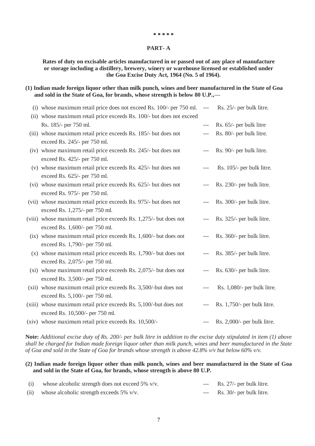#### **\* \* \* \* \***

### **PART- A**

# **Rates of duty on excisable articles manufactured in or passed out of any place of manufacture or storage including a distillery, brewery, winery or warehouse licensed or established under the Goa Excise Duty Act, 1964 (No. 5 of 1964).**

## **(1) Indian made foreign liquor other than milk punch, wines and beer manufactured in the State of Goa and sold in the State of Goa, for brands, whose strength is below 80 U.P.,—**

| (i) whose maximum retail price does not exceed Rs. 100/- per 750 ml.  | $\hspace{0.05cm}---\hspace{0.05cm}$ | Rs. 25/- per bulk litre.       |
|-----------------------------------------------------------------------|-------------------------------------|--------------------------------|
| (ii) whose maximum retail price exceeds Rs. 100/- but does not exceed |                                     |                                |
| Rs. 185/- per 750 ml.                                                 | $---$                               | Rs. 65/- per bulk litre        |
| (iii) whose maximum retail price exceeds Rs. 185/- but does not       | $---$                               | Rs. 80/- per bulk litre.       |
| exceed Rs. 245/- per 750 ml.                                          |                                     |                                |
| (iv) whose maximum retail price exceeds Rs. 245/- but does not        |                                     | Rs. 90/- per bulk litre.       |
| exceed Rs. 425/- per 750 ml.                                          |                                     |                                |
| (v) whose maximum retail price exceeds Rs. 425/- but does not         | $---$                               | Rs. 105/- per bulk litre.      |
| exceed Rs. 625/- per 750 ml.                                          |                                     |                                |
| (vi) whose maximum retail price exceeds Rs. 625/- but does not        |                                     | Rs. 230/- per bulk litre.      |
| exceed Rs. 975/- per 750 ml.                                          |                                     |                                |
| (vii) whose maximum retail price exceeds Rs. 975/- but does not       |                                     | Rs. 300/- per bulk litre.      |
| exceed Rs. 1,275/- per 750 ml.                                        |                                     |                                |
| (viii) whose maximum retail price exceeds Rs. 1,275/- but does not    | $---$                               | Rs. 325/- per bulk litre.      |
| exceed Rs. 1,600/- per 750 ml.                                        |                                     |                                |
| (ix) whose maximum retail price exceeds Rs. 1,600/- but does not      | ---                                 | Rs. 360/- per bulk litre.      |
| exceed Rs. 1,790/- per 750 ml.                                        |                                     |                                |
| $(x)$ whose maximum retail price exceeds Rs. 1,790/- but does not     |                                     | Rs. 385/- per bulk litre.      |
| exceed Rs. 2,075/- per 750 ml.                                        |                                     |                                |
| (xi) whose maximum retail price exceeds Rs. 2,075/- but does not      |                                     | Rs. 630/- per bulk litre.      |
| exceed Rs. 3,500/- per 750 ml.                                        |                                     |                                |
| (xii) whose maximum retail price exceeds Rs. 3,500/-but does not      | ---                                 | Rs. 1,080/- per bulk litre.    |
| exceed Rs. 5,100/- per 750 ml.                                        |                                     |                                |
| $(xiii)$ whose maximum retail price exceeds Rs. 5,100/-but does not   | $---$                               | Rs. $1,750/$ - per bulk litre. |
| exceed Rs. 10,500/- per 750 ml.                                       |                                     |                                |
| (xiv) whose maximum retail price exceeds Rs. 10,500/-                 |                                     | Rs. 2,000/- per bulk litre.    |

**Note:** *Additional excise duty of Rs. 200/- per bulk litre in addition to the excise duty stipulated in item (1) above shall be charged for Indian made foreign liquor other than milk punch, wines and beer manufactured in the State of Goa and sold in the State of Goa for brands whose strength is above 42.8% v/v but below 60% v/v.*

# **(2) Indian made foreign liquor other than milk punch, wines and beer manufactured in the State of Goa and sold in the State of Goa, for brands, whose strength is above 80 U.P.**

|      | whose alcoholic strength does not exceed 5% v/v. | $---$ | Rs. 27/- per bulk litre.             |
|------|--------------------------------------------------|-------|--------------------------------------|
| (ii) | whose alcoholic strength exceeds $5\%$ v/v.      |       | $\text{--}$ Rs. 30/- per bulk litre. |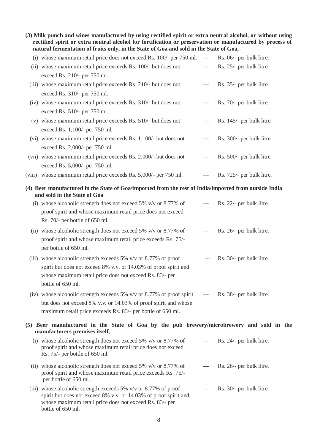**(3) Milk punch and wines manufactured by using rectified spirit or extra neutral alcohol, or without using rectified spirit or extra neutral alcohol for fortification or preservation or manufactured by process of natural fermentation of fruits only, in the State of Goa and sold in the State of Goa,–**

| (i) whose maximum retail price does not exceed Rs. 100/- per 750 ml. ---                                                              |                                          | Rs. 06/- per bulk litre.  |
|---------------------------------------------------------------------------------------------------------------------------------------|------------------------------------------|---------------------------|
| (ii) whose maximum retail price exceeds Rs. 100/- but does not                                                                        | $---$                                    | Rs. 25/- per bulk litre.  |
| exceed Rs. 210/- per 750 ml.                                                                                                          |                                          |                           |
| (iii) whose maximum retail price exceeds Rs. 210/- but does not                                                                       | $---$                                    | Rs. 35/- per bulk litre.  |
| exceed Rs. 310/- per 750 ml.                                                                                                          |                                          |                           |
| (iv) whose maximum retail price exceeds Rs. 310/- but does not                                                                        | $---$                                    | Rs. 70/- per bulk litre.  |
| exceed Rs. 510/- per 750 ml.                                                                                                          |                                          |                           |
| (v) whose maximum retail price exceeds Rs. 510/- but does not                                                                         | $---$                                    | Rs. 145/- per bulk litre. |
| exceed Rs. 1,100/- per 750 ml.                                                                                                        |                                          |                           |
| (vi) whose maximum retail price exceeds Rs. 1,100/- but does not                                                                      | $---$                                    | Rs. 300/- per bulk litre. |
| exceed Rs. 2,000/- per 750 ml.                                                                                                        |                                          |                           |
| (vii) whose maximum retail price exceeds Rs. 2,000/- but does not                                                                     |                                          | Rs. 500/- per bulk litre. |
| exceed Rs. 5,000/- per 750 ml.                                                                                                        |                                          |                           |
| (viii) whose maximum retail price exceeds Rs. 5,000/- per 750 ml.                                                                     | $---$                                    | Rs. 725/- per bulk litre. |
| (4) Beer manufactured in the State of Goa/imported from the rest of India/imported from outside India<br>and sold in the State of Goa |                                          |                           |
| (i) whose alcoholic strength does not exceed 5% $v/v$ or 8.77% of                                                                     | $-\, -\, -$                              | Rs. 22/- per bulk litre.  |
| proof spirit and whose maximum retail price does not exceed                                                                           |                                          |                           |
| Rs. 70/- per bottle of 650 ml.                                                                                                        |                                          |                           |
| (ii) whose alcoholic strength does not exceed 5% $v/v$ or 8.77% of                                                                    | $---$                                    | Rs. 26/- per bulk litre.  |
| proof spirit and whose maximum retail price exceeds Rs. 75/-                                                                          |                                          |                           |
| per bottle of 650 ml.                                                                                                                 |                                          |                           |
| (iii) whose alcoholic strength exceeds 5% $v/v$ or 8.77% of proof                                                                     | $---$                                    | Rs. 30/- per bulk litre.  |
| spirit but does not exceed 8% v.v. or 14.03% of proof spirit and                                                                      |                                          |                           |
| whose maximum retail price does not exceed Rs. 83/- per                                                                               |                                          |                           |
| bottle of 650 ml.                                                                                                                     |                                          |                           |
| (iv) whose alcoholic strength exceeds $5\%$ v/v or $8.77\%$ of proof spirit                                                           | $\hspace{0.05cm} \ldots \hspace{0.05cm}$ | Rs. 38/- per bulk litre.  |
| but does not exceed 8% v.v. or 14.03% of proof spirit and whose                                                                       |                                          |                           |
| maximum retail price exceeds Rs. 83/- per bottle of 650 ml.                                                                           |                                          |                           |
| (5) Beer manufactured in the State of Goa by the pub brewery/microbrewery and sold in the                                             |                                          |                           |
| manufacturers premises itself,                                                                                                        |                                          |                           |
| (i) whose alcoholic strength does not exceed 5% $v/v$ or 8.77% of                                                                     |                                          | Rs. 24/- per bulk litre.  |
| proof spirit and whose maximum retail price does not exceed<br>Rs. 75/- per bottle of 650 ml.                                         |                                          |                           |
|                                                                                                                                       |                                          |                           |
| (ii) whose alcoholic strength does not exceed 5% $v/v$ or 8.77% of                                                                    |                                          | Rs. 26/- per bulk litre.  |
| proof spirit and whose maximum retail price exceeds Rs. 75/-<br>per bottle of 650 ml.                                                 |                                          |                           |
| (iii) whose alcoholic strength exceeds 5% $v/v$ or 8.77% of proof                                                                     |                                          | Rs. 30/- per bulk litre.  |
| spirit but does not exceed 8% v.v. or 14.03% of proof spirit and                                                                      |                                          |                           |
| whose maximum retail price does not exceed Rs. 83/- per<br>bottle of 650 ml.                                                          |                                          |                           |
|                                                                                                                                       |                                          |                           |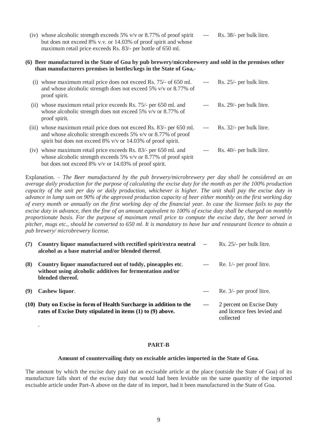| (iv) whose alcoholic strength exceeds 5% $v/v$ or 8.77% of proof spirit | $---$ | Rs. 38/- per bulk litre. |
|-------------------------------------------------------------------------|-------|--------------------------|
| but does not exceed 8% v.v. or 14.03% of proof spirit and whose         |       |                          |
| maximum retail price exceeds Rs. 83/- per bottle of 650 ml.             |       |                          |

# **(6) Beer manufactured in the State of Goa by pub brewery/microbrewery and sold in the premises other than manufacturers premises in bottles/kegs in the State of Goa,-**

| (1)   | whose maximum retail price does not exceed Rs. 75/- of 650 ml.<br>and whose alcoholic strength does not exceed 5% v/v or 8.77% of<br>proof spirit.                                                   |                                          | Rs. 25/- per bulk litre. |
|-------|------------------------------------------------------------------------------------------------------------------------------------------------------------------------------------------------------|------------------------------------------|--------------------------|
| (11)  | whose maximum retail price exceeds Rs. 75/- per 650 ml. and<br>whose alcoholic strength does not exceed 5% v/v or 8.77% of<br>proof spirit.                                                          |                                          | Rs. 29/- per bulk litre. |
| (111) | whose maximum retail price does not exceed Rs. 83/- per 650 ml.<br>and whose alcoholic strength exceeds 5% $v/v$ or 8.77% of proof<br>spirit but does not exceed 8% $v/v$ or 14.03% of proof spirit. | $\hspace{0.05cm} \ldots \hspace{0.05cm}$ | Rs. 32/- per bulk litre. |
|       | (iv) whose maximum retail price exceeds Rs. 83/- per 650 ml. and<br>whose alcoholic strength exceeds 5% $v/v$ or 8.77% of proof spirit<br>but does not exceed $8\%$ v/v or 14.03% of proof spirit.   |                                          | Rs. 40/- per bulk litre. |

Explanation. – *The Beer manufactured by the pub brewery/microbrewery per day shall be considered as an average daily production for the purpose of calculating the excise duty for the month as per the 100% production capacity of the unit per day or daily production, whichever is higher. The unit shall pay the excise duty in advance in lump sum on 90% of the approved production capacity of beer either monthly on the first working day of every month or annually on the first working day of the financial year. In case the licensee fails to pay the excise duty in advance, then the fine of an amount equivalent to 100% of excise duty shall be charged on monthly proportionate basis. For the purpose of maximum retail price to compute the excise duty, the beer served in pitcher, mugs etc., should be converted to 650 ml. It is mandatory to have bar and restaurant licence to obtain a pub brewery/ microbrewery license.*

| (7) | Country liquor manufactured with rectified spirit/extra neutral --<br>alcohol as a base material and/or blended thereof.                   |       | Rs. 25/- per bulk litre.                                             |
|-----|--------------------------------------------------------------------------------------------------------------------------------------------|-------|----------------------------------------------------------------------|
| (8) | Country liquor manufactured out of toddy, pineapples etc.<br>without using alcoholic additives for fermentation and/or<br>blended thereof. |       | $\text{Re. } 1/-$ per proof litre.                                   |
|     | Cashew liquor.                                                                                                                             | $---$ | Re. 3/- per proof litre.                                             |
|     | (10) Duty on Excise in form of Health Surcharge in addition to the<br>rates of Excise Duty stipulated in items (1) to (9) above.           | $---$ | 2 percent on Excise Duty<br>and licence fees levied and<br>collected |

.

### **PART-B**

#### **Amount of countervailing duty on excisable articles imported in the State of Goa.**

The amount by which the excise duty paid on an excisable article at the place (outside the State of Goa) of its manufacture falls short of the excise duty that would had been leviable on the same quantity of the imported excisable article under Part-A above on the date of its import, had it been manufactured in the State of Goa.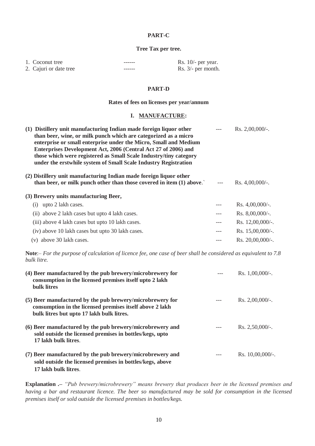# **PART-C**

## **Tree Tax per tree.**

| 1. Coconut tree        | ------ | Rs. $10/-$ per year. |
|------------------------|--------|----------------------|
| 2. Cajuri or date tree | ------ | Rs. $3/-$ per month. |

### **PART-D**

### **Rates of fees on licenses per year/annum**

## **I. MANUFACTURE:**

| (1) Distillery unit manufacturing Indian made foreign liquor other<br>than beer, wine, or milk punch which are categorized as a micro<br>enterprise or small enterprise under the Micro, Small and Medium<br>Enterprises Development Act, 2006 (Central Act 27 of 2006) and<br>those which were registered as Small Scale Industry/tiny category<br>under the erstwhile system of Small Scale Industry Registration |     | Rs. $2,00,000/$ -.  |
|---------------------------------------------------------------------------------------------------------------------------------------------------------------------------------------------------------------------------------------------------------------------------------------------------------------------------------------------------------------------------------------------------------------------|-----|---------------------|
| (2) Distillery unit manufacturing Indian made foreign liquor other<br>than beer, or milk punch other than those covered in item (1) above.                                                                                                                                                                                                                                                                          |     | Rs. $4,00,000/$ -.  |
| (3) Brewery units manufacturing Beer,                                                                                                                                                                                                                                                                                                                                                                               |     |                     |
| upto 2 lakh cases.<br>(1)                                                                                                                                                                                                                                                                                                                                                                                           |     | Rs. $4,00,000/$ -.  |
| (ii) above 2 lakh cases but upto 4 lakh cases.                                                                                                                                                                                                                                                                                                                                                                      | --- | Rs. $8,00,000/$ -.  |
| (iii) above 4 lakh cases but upto 10 lakh cases.                                                                                                                                                                                                                                                                                                                                                                    | --- | Rs. $12,00,000/$ -. |
| (iv) above 10 lakh cases but upto 30 lakh cases.                                                                                                                                                                                                                                                                                                                                                                    | --- | Rs. $15,00,000/$ -. |
| (v) above 30 lakh cases.                                                                                                                                                                                                                                                                                                                                                                                            |     | Rs. 20,00,000/-.    |

**Note**:– *For the purpose of calculation of licence fee, one case of beer shall be considered as equivalent to 7.8 bulk litre.*

| (4) Beer manufactured by the pub brewery/microbrewery for<br>consumption in the licensed premises itself upto 2 lakh<br>bulk litres                                | Rs. $1,00,000/$ -.         |
|--------------------------------------------------------------------------------------------------------------------------------------------------------------------|----------------------------|
| (5) Beer manufactured by the pub brewery/microbrewery for<br>consumption in the licensed premises itself above 2 lakh<br>bulk litres but upto 17 lakh bulk litres. | $Rs. 2,00,000/-.$          |
| (6) Beer manufactured by the pub brewery/microbrewery and<br>sold outside the licensed premises in bottles/kegs, upto<br>17 lakh bulk litres.                      | $\text{Rs. } 2.50,000/$ -. |
| (7) Beer manufactured by the pub brewery/microbrewery and<br>sold outside the licensed premises in bottles/kegs, above<br>17 lakh bulk litres.                     | Rs. $10,00,000/$ -.        |

**Explanation .–** *"Pub brewery/microbrewery" means brewery that produces beer in the licensed premises and having a bar and restaurant licence. The beer so manufactured may be sold for consumption in the licensed premises itself or sold outside the licensed premises in bottles/kegs.*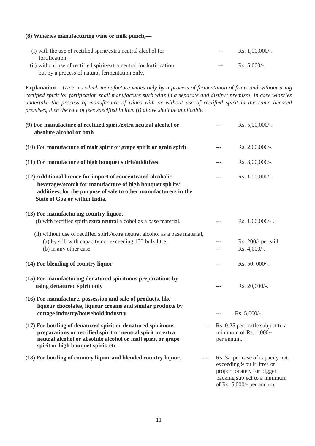# **(8) Wineries manufacturing wine or milk punch,—**

| (i) with the use of rectified spirit/extra neutral alcohol for       | $---$ | Rs. $1,00,000/$ -. |
|----------------------------------------------------------------------|-------|--------------------|
| fortification.                                                       |       |                    |
| (ii) without use of rectified spirit/extra neutral for fortification | $---$ | Rs. $5.000/-$ .    |
| but by a process of natural fermentation only.                       |       |                    |

**Explanation.–** *Wineries which manufacture wines only by a process of fermentation of fruits and without using rectified spirit for fortification shall manufacture such wine in a separate and distinct premises. In case wineries undertake the process of manufacture of wines with or without use of rectified spirit in the same licensed premises, then the rate of fees specified in item (i) above shall be applicable.*

| (9) For manufacture of rectified spirit/extra neutral alcohol or<br>absolute alcohol or both.                                                                                                                                      | $---$ | Rs. 5,00,000/-.                                                                                                                                              |
|------------------------------------------------------------------------------------------------------------------------------------------------------------------------------------------------------------------------------------|-------|--------------------------------------------------------------------------------------------------------------------------------------------------------------|
| (10) For manufacture of malt spirit or grape spirit or grain spirit.                                                                                                                                                               | ---   | Rs. 2,00,000/-.                                                                                                                                              |
| (11) For manufacture of high bouquet spirit/additives.                                                                                                                                                                             | ---   | Rs. 3,00,000/-.                                                                                                                                              |
| (12) Additional licence for import of concentrated alcoholic<br>beverages/scotch for manufacture of high bouquet spirits/<br>additives, for the purpose of sale to other manufacturers in the<br>State of Goa or within India.     | ---   | Rs. 1,00,000/-.                                                                                                                                              |
| $(13)$ For manufacturing country liquor, —<br>(i) with rectified spirit/extra neutral alcohol as a base material.                                                                                                                  | ---   | Rs. $1,00,000/$ -.                                                                                                                                           |
| (ii) without use of rectified spirit/extra neutral alcohol as a base material,<br>(a) by still with capacity not exceeding 150 bulk litre.<br>(b) in any other case.                                                               | ---   | Rs. 200/- per still.<br>Rs. 4,000/-.                                                                                                                         |
| (14) For blending of country liquor.                                                                                                                                                                                               | ---   | Rs. 50, 000/-.                                                                                                                                               |
| (15) For manufacturing denatured spirituous preparations by<br>using denatured spirit only                                                                                                                                         |       | Rs. 20,000/-.                                                                                                                                                |
| (16) For manufacture, possession and sale of products, like<br>liqueur chocolates, liqueur creams and similar products by<br>cottage industry/household industry                                                                   | $---$ | Rs. $5,000/-$ .                                                                                                                                              |
| (17) For bottling of denatured spirit or denatured spirituous<br>preparations or rectified spirit or neutral spirit or extra<br>neutral alcohol or absolute alcohol or malt spirit or grape<br>spirit or high bouquet spirit, etc. |       | Rs. 0.25 per bottle subject to a<br>minimum of Rs. 1,000/-<br>per annum.                                                                                     |
| (18) For bottling of country liquor and blended country liquor.<br>$---$                                                                                                                                                           |       | Rs. 3/- per case of capacity not<br>exceeding 9 bulk litres or<br>proportionately for bigger<br>packing subject to a minimum<br>of Rs. $5,000/$ - per annum. |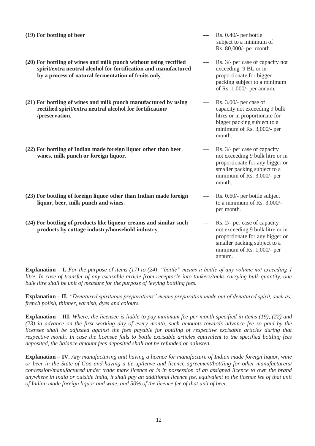- **(19) For bottling of beer** --- Rs. 0.40/- per bottle
- **(20) For bottling of wines and milk punch without using rectified** --- Rs. 3/- per case of capacity not **spirit/extra neutral alcohol for fortification and manufactured** exceeding 9 BL or in **by a process of natural fermentation of fruits only.** proportionate for bigger
- **(21) For bottling of wines and milk punch manufactured by using** --- Rs. 3.00/- per case of **rectified spirit/extra neutral alcohol for fortification/** capacity not exceeding 9 bulk **/preservation**. litres or in proportionate for
- **(22) For bottling of Indian made foreign liquor other than beer**, --- Rs. 3/- per case of capacity **wines, milk punch or foreign liquor.** not exceeding 9 bulk litre or in
- **(23) For bottling of foreign liquor other than Indian made foreign** --- Rs. 0.60/- per bottle subject **liquor, beer, milk punch and wines**. to a minimum of Rs. 3,000/-
- **(24) For bottling of products like liqueur creams and similar such** --- Rs. 2/- per case of capacity **products by cottage industry/household industry.** not exceeding 9 bulk litre or in
- subject to a minimum of Rs. 80,000/- per month.
- packing subject to a minimum of Rs. 1,000/- per annum.
- bigger packing subject to a minimum of Rs. 3,000/- per month.
- proportionate for any bigger or smaller packing subject to a minimum of Rs. 3,000/- per month.
- per month.
- proportionate for any bigger or smaller packing subject to a minimum of Rs. 1,000/- per annum.

**Explanation – I.** *For the purpose of items (17) to (24), "bottle" means a bottle of any volume not exceeding 1 litre. In case of transfer of any excisable article from receptacle into tankers/tanks carrying bulk quantity, one bulk litre shall be unit of measure for the purpose of levying bottling fees.*

**Explanation – II.** *"Denatured spirituous preparations" means preparation made out of denatured spirit, such as, french polish, thinner, varnish, dyes and colours.*

**Explanation – III.** *Where, the licensee is liable to pay minimum fee per month specified in items (19), (22) and (23) in advance on the first working day of every month, such amounts towards advance fee so paid by the licensee shall be adjusted against the fees payable for bottling of respective excisable articles during that respective month. In case the licensee fails to bottle excisable articles equivalent to the specified bottling fees deposited, the balance amount fees deposited shall not be refunded or adjusted.*

**Explanation – IV.** *Any manufacturing unit having a licence for manufacture of Indian made foreign liquor, wine or beer in the State of Goa and having a tie-up/leave and licence agreement/bottling for other manufacturers/ concession/manufactured under trade mark licence or is in possession of an assigned licence to own the brand anywhere in India or outside India, it shall pay an additional licence fee, equivalent to the licence fee of that unit of Indian made foreign liquor and wine, and 50% of the licence fee of that unit of beer.*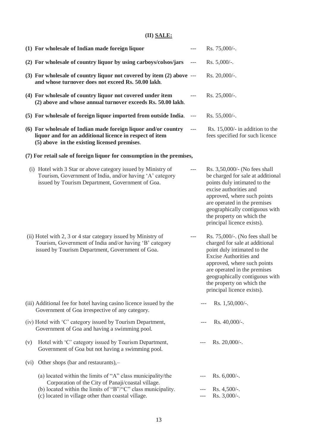# **(II) SALE:**

|      | (1) For wholesale of Indian made foreign liquor                                                                                                                                   |                          | Rs. 75,000/-.                                                                                                                                                                                                                                                                             |
|------|-----------------------------------------------------------------------------------------------------------------------------------------------------------------------------------|--------------------------|-------------------------------------------------------------------------------------------------------------------------------------------------------------------------------------------------------------------------------------------------------------------------------------------|
|      | (2) For wholesale of country liquor by using carboys/colsos/jars                                                                                                                  | ---                      | Rs. 5,000/-.                                                                                                                                                                                                                                                                              |
|      | (3) For wholesale of country liquor not covered by item (2) above ---<br>and whose turnover does not exceed Rs. 50.00 lakh.                                                       |                          | Rs. $20,000/$ -.                                                                                                                                                                                                                                                                          |
|      | (4) For wholesale of country liquor not covered under item<br>(2) above and whose annual turnover exceeds Rs. 50.00 lakh.                                                         | $---$                    | Rs. $25,000/-$ .                                                                                                                                                                                                                                                                          |
|      | (5) For wholesale of foreign liquor imported from outside India.                                                                                                                  | $\scriptstyle{\cdots}$ . | Rs. $55,000/$ -.                                                                                                                                                                                                                                                                          |
|      | (6) For wholesale of Indian made foreign liquor and/or country<br>liquor and for an additional licence in respect of item<br>(5) above in the existing licensed premises.         | $\hspace{0.05cm} \ldots$ | Rs. $15,000/$ - in addition to the<br>fees specified for such licence                                                                                                                                                                                                                     |
|      | (7) For retail sale of foreign liquor for consumption in the premises,                                                                                                            |                          |                                                                                                                                                                                                                                                                                           |
|      | (i) Hotel with 3 Star or above category issued by Ministry of<br>Tourism, Government of India, and/or having 'A' category<br>issued by Tourism Department, Government of Goa.     | $---$                    | Rs. 3,50,000/- (No fees shall<br>be charged for sale at additional<br>points duly intimated to the<br>excise authorities and<br>approved, where such points<br>are operated in the premises<br>geographically contiguous with<br>the property on which the<br>principal licence exists).  |
|      | (ii) Hotel with 2, 3 or 4 star category issued by Ministry of<br>Tourism, Government of India and/or having 'B' category<br>issued by Tourism Department, Government of Goa.      | $---$                    | Rs. $75,000/$ -. (No fees shall be<br>charged for sale at additional<br>point duly intimated to the<br>Excise Authorities and<br>approved, where such points<br>are operated in the premises<br>geographically contiguous with<br>the property on which the<br>principal licence exists). |
|      | (iii) Additional fee for hotel having casino licence issued by the<br>Government of Goa irrespective of any category.                                                             |                          | Rs. 1,50,000/-.                                                                                                                                                                                                                                                                           |
|      | (iv) Hotel with 'C' category issued by Tourism Department,<br>Government of Goa and having a swimming pool.                                                                       |                          | Rs. $40,000/$ -.                                                                                                                                                                                                                                                                          |
| (v)  | Hotel with 'C' category issued by Tourism Department,<br>Government of Goa but not having a swimming pool.                                                                        |                          | Rs. $20,000/$ -.                                                                                                                                                                                                                                                                          |
| (vi) | Other shops (bar and restaurants),-                                                                                                                                               |                          |                                                                                                                                                                                                                                                                                           |
|      | (a) located within the limits of "A" class municipality/the<br>Corporation of the City of Panaji/coastal village.<br>(b) located within the limits of "B"/"C" class municipality. |                          | Rs. $6,000/$ -.<br>$Rs. 4,500/-.$                                                                                                                                                                                                                                                         |
|      | (c) located in village other than coastal village.                                                                                                                                |                          | Rs. 3,000/-.                                                                                                                                                                                                                                                                              |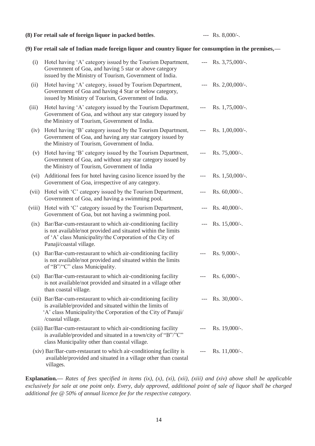## **(8) For retail sale of foreign liquor in packed bottles**. --- Rs. 8,000/-.

# **(9) For retail sale of Indian made foreign liquor and country liquor for consumption in the premises,—**

| (i)     | Hotel having 'A' category issued by the Tourism Department,<br>Government of Goa, and having 5 star or above category<br>issued by the Ministry of Tourism, Government of India.                                 |                          | $Rs. 3,75,000/$ -. |
|---------|------------------------------------------------------------------------------------------------------------------------------------------------------------------------------------------------------------------|--------------------------|--------------------|
| (ii)    | Hotel having 'A' category, issued by Tourism Department,<br>Government of Goa and having 4 Star or below category,<br>issued by Ministry of Tourism, Government of India.                                        |                          | $Rs. 2,00,000/$ -. |
| (iii)   | Hotel having 'A' category issued by the Tourism Department,<br>Government of Goa, and without any star category issued by<br>the Ministry of Tourism, Government of India.                                       | $\hspace{0.05cm} \ldots$ | Rs. $1,75,000/$ -. |
| (iv)    | Hotel having 'B' category issued by the Tourism Department,<br>Government of Goa, and having any star category issued by<br>the Ministry of Tourism, Government of India.                                        | $---$                    | Rs. $1,00,000/$ -. |
| (v)     | Hotel having 'B' category issued by the Tourism Department,<br>Government of Goa, and without any star category issued by<br>the Ministry of Tourism, Government of India                                        | $---$                    | Rs. $75,000/$ -.   |
| (vi)    | Additional fees for hotel having casino licence issued by the<br>Government of Goa, irrespective of any category.                                                                                                |                          | Rs. $1,50,000/$ -. |
| (vii)   | Hotel with 'C' category issued by the Tourism Department,<br>Government of Goa, and having a swimming pool.                                                                                                      |                          | Rs. $60,000/$ -.   |
| (viii)  | Hotel with 'C' category issued by the Tourism Department,<br>Government of Goa, but not having a swimming pool.                                                                                                  |                          | $Rs. 40,000/$ -.   |
| (ix)    | Bar/Bar-cum-restaurant to which air-conditioning facility<br>is not available/not provided and situated within the limits<br>of 'A' class Municipality/the Corporation of the City of<br>Panaji/coastal village. |                          | $R_s$ . 15,000/-.  |
| (x)     | Bar/Bar-cum-restaurant to which air-conditioning facility<br>is not available/not provided and situated within the limits<br>of "B"/"C" class Municipality.                                                      | $---$                    | Rs. $9,000/$ -.    |
| $(x_i)$ | Bar/Bar-cum-restaurant to which air-conditioning facility<br>is not available/not provided and situated in a village other<br>than coastal village.                                                              | $---$                    | Rs. $6,000/$ -.    |
|         | (xii) Bar/Bar-cum-restaurant to which air-conditioning facility<br>is available/provided and situated within the limits of<br>'A' class Municipality/the Corporation of the City of Panaji/<br>/coastal village. |                          | $Rs. 30,000/-.$    |
|         | (xiii) Bar/Bar-cum-restaurant to which air-conditioning facility<br>is available/provided and situated in a town/city of "B"/"C"<br>class Municipality other than coastal village.                               |                          | Rs. $19,000/$ -.   |
|         | (xiv) Bar/Bar-cum-restaurant to which air-conditioning facility is<br>available/provided and situated in a village other than coastal<br>villages.                                                               |                          | Rs. $11,000/-$ .   |

**Explanation.—** *Rates of fees specified in items (ix), (x), (xi), (xii), (xiii) and (xiv) above shall be applicable exclusively for sale at one point only. Every, duly approved, additional point of sale of liquor shall be charged additional fee @ 50% of annual licence fee for the respective category.*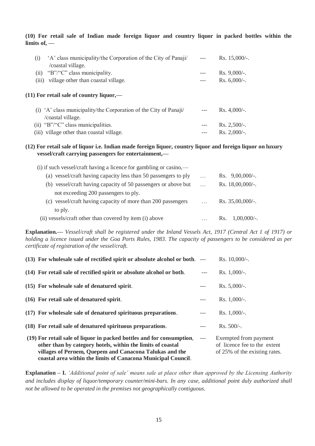**(10) For retail sale of Indian made foreign liquor and country liquor in packed bottles within the limits of, —**

| 'A' class municipality/the Corporation of the City of Panaji/<br>(1)<br>/coastal village. | $Rs. 15,000/-.$ |
|-------------------------------------------------------------------------------------------|-----------------|
| "B"/"C" class municipality.<br>(i)                                                        | $Rs. 9,000/-.$  |
| village other than coastal village.<br>(iii)                                              | Rs. $6,000/-$ . |
| $(11)$ For retail sale of country liquor,—                                                |                 |
| (i) 'A' class municipality/the Corporation of the City of Panaji/<br>coastal village.     | Rs. $4,000/$ -. |
| (ii) " $B$ "/" $C$ " class municipalities.                                                | $Rs. 2,500/-.$  |
| (iii) village other than coastal village.                                                 | $Rs. 2,000/-.$  |

# **(12) For retail sale of liquor i.e. Indian made foreign liquor, country liquor and foreign liquor on luxury vessel/craft carrying passengers for entertainment,—**

| $\cdots$ | Rs. $9,00,000/$ -.    |
|----------|-----------------------|
| $\cdots$ | Rs. 18,00,000/-.      |
|          |                       |
| $\cdots$ | Rs. $35,00,000/$ -.   |
|          |                       |
|          | $1,00,000/$ -.<br>Rs. |
|          |                       |

**Explanation.—** *Vessel/craft shall be registered under the Inland Vessels Act, 1917 (Central Act 1 of 1917) or holding a licence issued under the Goa Ports Rules, 1983. The capacity of passengers to be considered as per certificate of registration of the vessel/craft.*

| (13) For wholesale sale of rectified spirit or absolute alcohol or both. ---                                                                                                                                                                                     |       | Rs. 10,000/-.                                                                          |
|------------------------------------------------------------------------------------------------------------------------------------------------------------------------------------------------------------------------------------------------------------------|-------|----------------------------------------------------------------------------------------|
| (14) For retail sale of rectified spirit or absolute alcohol or both.                                                                                                                                                                                            | $---$ | Rs. $1,000/-$ .                                                                        |
| (15) For wholesale sale of denatured spirit.                                                                                                                                                                                                                     |       | $Rs. 5,000/-.$                                                                         |
| (16) For retail sale of denatured spirit.                                                                                                                                                                                                                        |       | Rs. $1,000/-$ .                                                                        |
| (17) For wholesale sale of denatured spirituous preparations.                                                                                                                                                                                                    | $---$ | Rs. $1,000/-$ .                                                                        |
| (18) For retail sale of denatured spirituous preparations.                                                                                                                                                                                                       |       | $Rs. 500/-.$                                                                           |
| (19) For retail sale of liquor in packed bottles and for consumption,<br>other than by category hotels, within the limits of coastal<br>villages of Pernem, Quepem and Canacona Talukas and the<br>coastal area within the limits of Canacona Municipal Council. | $---$ | Exempted from payment<br>of licence fee to the extent<br>of 25% of the existing rates. |

**Explanation – I.** *'Additional point of sale' means sale at place other than approved by the Licensing Authority and includes display of liquor/temporary counter/mini-bars. In any case, additional point duly authorized shall not be allowed to be operated in the premises not geographically contiguous.*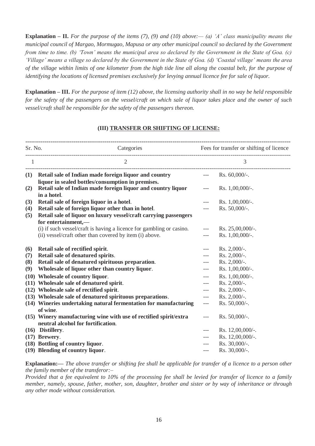**Explanation – II.** *For the purpose of the items (7), (9) and (10) above:— (a) 'A' class municipality means the municipal council of Margao, Mormugao, Mapusa or any other municipal council so declared by the Government from time to time. (b) 'Town' means the municipal area so declared by the Government in the State of Goa. (c) 'Village' means a village so declared by the Government in the State of Goa. (d) 'Coastal village' means the area of the village within limits of one kilometer from the high tide line all along the coastal belt, for the purpose of identifying the locations of licensed premises exclusively for levying annual licence fee for sale of liquor.*

**Explanation – III.** *For the purpose of item (12) above, the licensing authority shall in no way be held responsible for the safety of the passengers on the vessel/craft on which sale of liquor takes place and the owner of such vessel/craft shall be responsible for the safety of the passengers thereon.*

# **(III) TRANSFER OR SHIFTING OF LICENSE:**

| Sr. No.        | Categories                                                                                                                       |                          | Fees for transfer or shifting of licence |  |  |
|----------------|----------------------------------------------------------------------------------------------------------------------------------|--------------------------|------------------------------------------|--|--|
| $\overline{1}$ | $\overline{2}$                                                                                                                   |                          | 3                                        |  |  |
|                | (1) Retail sale of Indian made foreign liquor and country --- Rs. 60,000/-.<br>liquor in sealed bottles/consumption in premises. |                          |                                          |  |  |
| (2)            | Retail sale of Indian made foreign liquor and country liquor<br>in a hotel.                                                      | $\scriptstyle{\cdots}$ . | Rs. $1,00,000/$ -.                       |  |  |
| (3)            | Retail sale of foreign liquor in a hotel.                                                                                        | $---$                    | Rs. $1,00,000/$ -.                       |  |  |
| (4)            | Retail sale of foreign liquor other than in hotel.                                                                               | $---$                    | Rs. 50,000/-.                            |  |  |
| (5)            | Retail sale of liquor on luxury vessel/craft carrying passengers<br>for entertainment,-                                          |                          |                                          |  |  |
|                | (i) if such vessel/craft is having a licence for gambling or casino.                                                             | $\hspace{0.05cm}---$     | Rs. $25,00,000/$ -.                      |  |  |
|                | (ii) vessel/craft other than covered by item (i) above.                                                                          | $---$                    | Rs. 1,00,000/-.                          |  |  |
| (6)            | Retail sale of rectified spirit.                                                                                                 | $\hspace{0.05cm} \ldots$ | Rs. $2,000/-$ .                          |  |  |
| (7)            | Retail sale of denatured spirits.                                                                                                | $---$                    | Rs. 2,000/-.                             |  |  |
| (8)            | Retail sale of denatured spirituous preparation.                                                                                 | $---$                    | Rs. 2,000/-.                             |  |  |
| (9)            | Wholesale of liquor other than country liquor.                                                                                   | $---$                    | Rs. 1,00,000/-.                          |  |  |
|                | (10) Wholesale of country liquor.                                                                                                | $---$                    | Rs. 1,00,000/-.                          |  |  |
|                | (11) Wholesale sale of denatured spirit.                                                                                         | $---$                    | Rs. $2,000/-$ .                          |  |  |
|                | (12) Wholesale sale of rectified spirit.                                                                                         | $---$                    | Rs. 2,000/-.                             |  |  |
|                | (13) Wholesale sale of denatured spirituous preparations.                                                                        | $---$                    | Rs. 2,000/-.                             |  |  |
|                | (14) Wineries undertaking natural fermentation for manufacturing<br>of wine.                                                     | $---$                    | Rs. 50,000/-.                            |  |  |
|                | (15) Winery manufacturing wine with use of rectified spirit/extra<br>neutral alcohol for fortification.                          | $---$                    | Rs. $50,000/$ -.                         |  |  |
|                | (16) Distillery.                                                                                                                 | $---$                    | Rs. 12,00,000/-.                         |  |  |
|                | $(17)$ Brewery.                                                                                                                  | ---                      | Rs. 12,00,000/-.                         |  |  |
|                | (18) Bottling of country liquor.                                                                                                 | ---                      | Rs. 30,000/-.                            |  |  |
|                | (19) Blending of country liquor.                                                                                                 | $---$                    | Rs. 30,000/-.                            |  |  |
|                |                                                                                                                                  |                          |                                          |  |  |

**Explanation:—** *The above transfer or shifting fee shall be applicable for transfer of a licence to a person other the family member of the transferor:–*

*Provided that a fee equivalent to 10% of the processing fee shall be levied for transfer of licence to a family member, namely, spouse, father, mother, son, daughter, brother and sister or by way of inheritance or through any other mode without consideration.*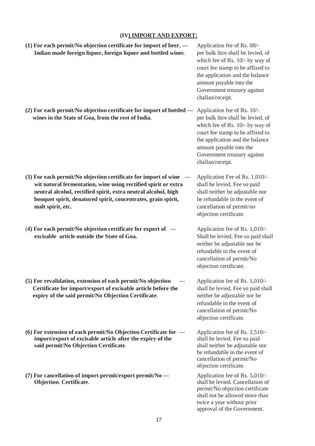# **(IV) IMPORT AND EXPORT:**

| (1) For each permit/No objection certificate for import of beer, ---<br>Indian made foreign liquor, foreign liquor and bottled wines.                                                                                                                                                         | Application fee of Rs. 08/-<br>per bulk litre shall be levied, of<br>which fee of Rs. 10/- by way of<br>court fee stamp to be affixed to<br>the application and the balance<br>amount payable into the<br>Government treasury against<br>challan/receipt. |
|-----------------------------------------------------------------------------------------------------------------------------------------------------------------------------------------------------------------------------------------------------------------------------------------------|-----------------------------------------------------------------------------------------------------------------------------------------------------------------------------------------------------------------------------------------------------------|
| (2) For each permit/No objection certificate for import of bottled ---<br>wines in the State of Goa, from the rest of India.                                                                                                                                                                  | Application fee of Rs. 10/-<br>per bulk litre shall be levied, of<br>which fee of Rs. 10/- by way of<br>court fee stamp to be affixed to<br>the application and the balance<br>amount payable into the<br>Government treasury against<br>challan/receipt. |
| (3) For each permit/No objection certificate for import of wine ---<br>wit natural fermentation, wine using rectified spirit or extra<br>neutral alcohol, rectified spirit, extra neutral alcohol, high<br>bouquet spirit, denatured spirit, concentrates, grain spirit,<br>malt spirit, etc. | Application Fee of Rs. 1,010/-<br>shall be levied. Fee so paid<br>shall neither be adjustable nor<br>be refundable in the event of<br>cancellation of permit/no<br>objection certificate.                                                                 |
| (4) For each permit/No objection certificate for export of ---<br>excisable article outside the State of Goa.                                                                                                                                                                                 | Application fee of Rs. 1,010/-<br>Shall be levied. Fee so paid shall<br>neither be adjustable nor be<br>refundable in the event of<br>cancellation of permit/No<br>objection certificate.                                                                 |
| (5) For revalidation, extension of each permit/No objection<br>---<br>Certificate for import/export of excisable article before the<br>expiry of the said permit/No Objection Certificate.                                                                                                    | Application fee of Rs. 1,010/-<br>shall be levied. Fee so paid shall<br>neither be adjustable nor be<br>refundable in the event of<br>cancellation of permit/No<br>objection certificate.                                                                 |
| (6) For extension of each permit/No Objection Certificate for ---<br>import/export of excisable article after the expiry of the<br>said permit/No Objection Certificate.                                                                                                                      | Application fee of Rs. 2,510/-<br>shall be levied. Fee so paid<br>shall neither be adjustable nor<br>be refundable in the event of<br>cancellation of permit/No<br>objection certificate.                                                                 |
| (7) For cancellation of import permit/export permit/No ---<br><b>Objection. Certificate.</b>                                                                                                                                                                                                  | Application fee of Rs. 5,010/-<br>shall be levied. Cancellation of<br>permit/No objection certificate<br>shall not be allowed more than<br>twice a year without prior<br>approval of the Government.                                                      |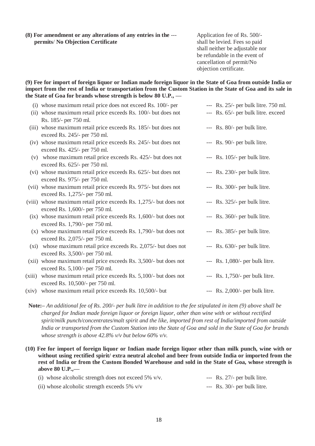**(8) For amendment or any alterations of any entries in the** --- Application fee of Rs. 500/ **permits**/ **No Objection Certificate** shall be levied. Fees so paid

shall neither be adjustable nor be refundable in the event of cancellation of permit/No objection certificate.

**(9) Fee for import of foreign liquor or Indian made foreign liquor in the State of Goa from outside India or import from the rest of India or transportation from the Custom Station in the State of Goa and its sale in the State of Goa for brands whose strength is below 80 U.P., —**

|        | (i) whose maximum retail price does not exceed Rs. 100/- per       | --- Rs. 25/- per bulk litre. 750 ml. |
|--------|--------------------------------------------------------------------|--------------------------------------|
|        | (ii) whose maximum retail price exceeds Rs. 100/- but does not     | --- Rs. 65/- per bulk litre. exceed  |
|        | Rs. 185/- per 750 ml.                                              |                                      |
|        | (iii) whose maximum retail price exceeds Rs. 185/- but does not    | --- Rs. 80/- per bulk litre.         |
|        | exceed Rs. 245/- per 750 ml.                                       |                                      |
|        | (iv) whose maximum retail price exceeds Rs. 245/- but does not     | --- Rs. 90/- per bulk litre.         |
|        | exceed Rs. 425/- per 750 ml.                                       |                                      |
|        | (v) whose maximum retail price exceeds Rs. 425/- but does not      | $-$ - Rs. 105/- per bulk litre.      |
|        | exceed Rs. 625/- per 750 ml.                                       |                                      |
|        | (vi) whose maximum retail price exceeds Rs. 625/- but does not     | --- Rs. 230/- per bulk litre.        |
|        | exceed Rs. 975/- per 750 ml.                                       |                                      |
|        | (vii) whose maximum retail price exceeds Rs. 975/- but does not    | $-$ - Rs. 300/- per bulk litre.      |
|        | exceed Rs. 1,275/- per 750 ml.                                     |                                      |
|        | (viii) whose maximum retail price exceeds Rs. 1,275/- but does not | --- Rs. 325/- per bulk litre.        |
|        | exceed Rs. 1,600/- per 750 ml.                                     |                                      |
|        | $(ix)$ whose maximum retail price exceeds Rs. 1,600/- but does not | --- Rs. 360/- per bulk litre.        |
|        | exceed Rs. 1,790/- per 750 ml.                                     |                                      |
|        | $(x)$ whose maximum retail price exceeds Rs. 1,790/- but does not  | --- Rs. 385/- per bulk litre.        |
|        | exceed Rs. 2,075/- per 750 ml.                                     |                                      |
|        | $(xi)$ whose maximum retail price exceeds Rs. 2,075/- but does not | $-$ - Rs. 630/- per bulk litre.      |
|        | exceed Rs. 3,500/- per 750 ml.                                     |                                      |
|        |                                                                    | $-$ - Rs. 1,080/- per bulk litre.    |
|        | (xii) whose maximum retail price exceeds Rs. 3,500/- but does not  |                                      |
|        | exceed Rs. 5,100/- per 750 ml.                                     |                                      |
| (xiii) | whose maximum retail price exceeds Rs. 5,100/- but does not        | $-$ Rs. 1,750/- per bulk litre.      |
|        | exceed Rs. 10,500/- per 750 ml.                                    |                                      |
| (xiv)  | whose maximum retail price exceeds Rs. 10,500/- but                | $-$ - Rs. 2,000/- per bulk litre.    |
|        |                                                                    |                                      |
|        |                                                                    |                                      |

 **Note:–** *An additional fee of Rs. 200/- per bulk litre in addition to the fee stipulated in item (9) above shall be charged for Indian made foreign liquor or foreign liquor, other than wine with or without rectified spirit/milk punch/concentrates/malt spirit and the like, imported from rest of India/imported from outside India or transported from the Custom Station into the State of Goa and sold in the State of Goa for brands whose strength is above 42.8% v/v but below 60% v/v.*

**(10) Fee for import of foreign liquor or Indian made foreign liquor other than milk punch, wine with or without using rectified spirit/ extra neutral alcohol and beer from outside India or imported from the rest of India or from the Custom Bonded Warehouse and sold in the State of Goa, whose strength is above 80 U.P.,—**

| (i) whose alcoholic strength does not exceed 5% $v/v$ . | $-$ Rs. 27/- per bulk litre. |
|---------------------------------------------------------|------------------------------|
| (ii) whose alcoholic strength exceeds $5\%$ v/v         | $-$ Rs. 30/- per bulk litre. |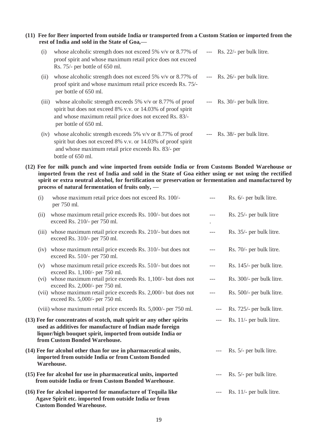**(11) Fee for Beer imported from outside India or transported from a Custom Station or imported from the rest of India and sold in the State of Goa,—**

| (i)   | whose alcoholic strength does not exceed 5% $v/v$ or 8.77% of<br>proof spirit and whose maximum retail price does not exceed<br>Rs. 75/- per bottle of 650 ml.                                                      | $---$    | Rs. 22/- per bulk litre.     |
|-------|---------------------------------------------------------------------------------------------------------------------------------------------------------------------------------------------------------------------|----------|------------------------------|
| (i)   | whose alcoholic strength does not exceed 5% $v/v$ or 8.77% of<br>proof spirit and whose maximum retail price exceeds Rs. 75/-<br>per bottle of 650 ml.                                                              |          | $-$ Rs. 26/- per bulk litre. |
| (iii) | whose alcoholic strength exceeds $5\%$ v/v or $8.77\%$ of proof<br>spirit but does not exceed 8% v.v. or 14.03% of proof spirit<br>and whose maximum retail price does not exceed Rs. 83/-<br>per bottle of 650 ml. |          | $-$ Rs. 30/- per bulk litre. |
| (iv)  | whose alcoholic strength exceeds 5% $v/v$ or 8.77% of proof<br>spirit but does not exceed 8% v.v. or 14.03% of proof spirit<br>and whose maximum retail price exceeds Rs. 83/- per                                  | $\cdots$ | Rs. 38/- per bulk litre.     |

bottle of 650 ml.

**(12) Fee for milk punch and wine imported from outside India or from Customs Bonded Warehouse or imported from the rest of India and sold in the State of Goa either using or not using the rectified spirit or extra neutral alcohol, for fortification or preservation or fermentation and manufactured by process of natural fermentation of fruits only, —**

| (i)  | whose maximum retail price does not exceed Rs. 100/-<br>per 750 ml.                                                                                                                                                              | $---$ | Rs. 6/- per bulk litre.   |
|------|----------------------------------------------------------------------------------------------------------------------------------------------------------------------------------------------------------------------------------|-------|---------------------------|
| (ii) | whose maximum retail price exceeds Rs. 100/- but does not<br>exceed Rs. 210/- per 750 ml.                                                                                                                                        | $---$ | Rs. 25/- per bulk litre   |
|      | (iii) whose maximum retail price exceeds Rs. 210/- but does not<br>exceed Rs. 310/- per 750 ml.                                                                                                                                  | $---$ | Rs. 35/- per bulk litre.  |
| (iv) | whose maximum retail price exceeds Rs. 310/- but does not<br>exceed Rs. 510/- per 750 ml.                                                                                                                                        | ---   | Rs. 70/- per bulk litre.  |
| (v)  | whose maximum retail price exceeds Rs. 510/- but does not<br>exceed Rs. 1,100/- per 750 ml.                                                                                                                                      | $---$ | Rs. 145/- per bulk litre. |
| (vi) | whose maximum retail price exceeds Rs. 1,100/- but does not<br>exceed Rs. 2,000/- per 750 ml.                                                                                                                                    | ---   | Rs. 300/- per bulk litre. |
|      | (vii) whose maximum retail price exceeds Rs. 2,000/- but does not<br>exceed Rs. 5,000/- per 750 ml.                                                                                                                              | $---$ | Rs. 500/- per bulk litre. |
|      | (viii) whose maximum retail price exceeds Rs. 5,000/- per 750 ml.                                                                                                                                                                | $---$ | Rs. 725/- per bulk litre. |
|      | (13) Fee for concentrates of scotch, malt spirit or any other spirits<br>used as additives for manufacture of Indian made foreign<br>liquor/high bouquet spirit, imported from outside India or<br>from Custom Bonded Warehouse. |       | Rs. 11/- per bulk litre.  |
|      | (14) Fee for alcohol other than for use in pharmaceutical units,<br>imported from outside India or from Custom Bonded<br>Warehouse.                                                                                              |       | Rs. 5/- per bulk litre.   |
|      | (15) Fee for alcohol for use in pharmaceutical units, imported<br>from outside India or from Custom Bonded Warehouse.                                                                                                            |       | Rs. 5/- per bulk litre.   |
|      | (16) Fee for alcohol imported for manufacture of Tequila like<br>Agave Spirit etc. imported from outside India or from<br><b>Custom Bonded Warehouse.</b>                                                                        | ---   | Rs. 11/- per bulk litre.  |

19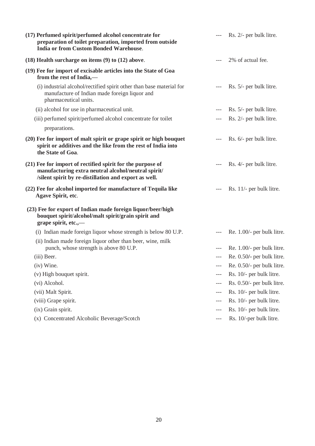| (17) Perfumed spirit/perfumed alcohol concentrate for<br>preparation of toilet preparation, imported from outside<br><b>India or from Custom Bonded Warehouse.</b>         |       | Rs. 2/- per bulk litre.    |
|----------------------------------------------------------------------------------------------------------------------------------------------------------------------------|-------|----------------------------|
| $(18)$ Health surcharge on items $(9)$ to $(12)$ above.                                                                                                                    |       | 2% of actual fee.          |
| (19) Fee for import of excisable articles into the State of Goa<br>from the rest of India,-                                                                                |       |                            |
| (i) industrial alcohol/rectified spirit other than base material for<br>manufacture of Indian made foreign liquor and<br>pharmaceutical units.                             |       | Rs. 5/- per bulk litre.    |
| (ii) alcohol for use in pharmaceutical unit.                                                                                                                               |       | Rs. 5/- per bulk litre.    |
| (iii) perfumed spirit/perfumed alcohol concentrate for toilet                                                                                                              |       | Rs. 2/- per bulk litre.    |
| preparations.                                                                                                                                                              |       |                            |
| (20) Fee for import of malt spirit or grape spirit or high bouquet<br>spirit or additives and the like from the rest of India into<br>the State of Goa.                    |       | Rs. 6/- per bulk litre.    |
| (21) Fee for import of rectified spirit for the purpose of<br>manufacturing extra neutral alcohol/neutral spirit/<br>/silent spirit by re-distillation and export as well. |       | Rs. 4/- per bulk litre.    |
| (22) Fee for alcohol imported for manufacture of Tequila like<br>Agave Spirit, etc.                                                                                        |       | Rs. 11/- per bulk litre.   |
| (23) Fee for export of Indian made foreign liquor/beer/high<br>bouquet spirit/alcohol/malt spirit/grain spirit and<br>grape spirit, etc.,—                                 |       |                            |
| (i) Indian made foreign liquor whose strength is below 80 U.P.                                                                                                             | $---$ | Re. 1.00/- per bulk litre. |
| (ii) Indian made foreign liquor other than beer, wine, milk<br>punch, whose strength is above 80 U.P.                                                                      | $---$ | Re. 1.00/- per bulk litre. |
| (iii) Beer.                                                                                                                                                                |       | Re. 0.50/- per bulk litre. |
| (iv) Wine.                                                                                                                                                                 | $---$ | Re. 0.50/- per bulk litre. |
| (v) High bouquet spirit.                                                                                                                                                   | $---$ | Rs. 10/- per bulk litre.   |
| (vi) Alcohol.                                                                                                                                                              | $---$ | Rs. 0.50/- per bulk litre. |
| (vii) Malt Spirit.                                                                                                                                                         | $---$ | Rs. 10/- per bulk litre.   |
| (viii) Grape spirit.                                                                                                                                                       | ---   | Rs. 10/- per bulk litre.   |
| (ix) Grain spirit.                                                                                                                                                         | $---$ | Rs. 10/- per bulk litre.   |
| (x) Concentrated Alcoholic Beverage/Scotch                                                                                                                                 | $---$ | Rs. 10/-per bulk litre.    |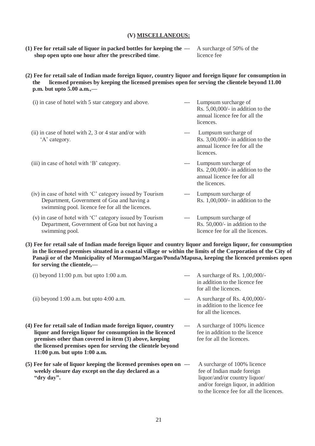### **(V) MISCELLANEOUS:**

- **(1) Fee for retail sale of liquor in packed bottles for keeping the** --- A surcharge of 50% of the **shop open upto one hour after the prescribed time.** licence fee
- **(2) Fee for retail sale of Indian made foreign liquor, country liquor and foreign liquor for consumption in the licensed premises by keeping the licensed premises open for serving the clientele beyond 11.00 p.m. but upto 5.00 a.m.,—**
	- (i) in case of hotel with 5 star category and above. --- Lumpsum surcharge of Rs. 5,00,000/- in addition to the annual licence fee for all the licences. (ii) in case of hotel with 2, 3 or 4 star and/or with --- Lumpsum surcharge of 'A' category. Rs. 3,00,000/- in addition to the annual licence fee for all the licences. (iii) in case of hotel with 'B' category. The same surcharge of second surcharge of second surface of  $\mu$ Rs. 2,00,000/- in addition to the annual licence fee for all the licences. (iv) in case of hotel with 'C' category issued by Tourism --- Lumpsum surcharge of<br>Department. Government of Goa and having a Rs. 1.00.000/- in addition to the Department, Government of Goa and having a swimming pool. licence fee for all the licences.
	- (v) in case of hotel with 'C' category issued by Tourism --- Lumpsum surcharge of Department, Government of Goa but not having a Rs. 50,000/- in addition to the swimming pool.  $\blacksquare$
- **(3) Fee for retail sale of Indian made foreign liquor and country liquor and foreign liquor, for consumption in the licensed premises situated in a coastal village or within the limits of the Corporation of the City of Panaji or of the Municipality of Mormugao/Margao/Ponda/Mapusa, keeping the licenced premises open for serving the clientele,—**

| (i) beyond $11:00$ p.m. but upto $1:00$ a.m.                                                                                                                                                                                                                                            |       | A surcharge of Rs. $1,00,000/$ -<br>in addition to the licence fee<br>for all the licences.                                                                                  |
|-----------------------------------------------------------------------------------------------------------------------------------------------------------------------------------------------------------------------------------------------------------------------------------------|-------|------------------------------------------------------------------------------------------------------------------------------------------------------------------------------|
| (ii) beyond $1:00$ a.m. but upto $4:00$ a.m.                                                                                                                                                                                                                                            | $---$ | A surcharge of Rs. $4,00,000/$ -<br>in addition to the licence fee<br>for all the licences.                                                                                  |
| (4) Fee for retail sale of Indian made foreign liquor, country<br>liquor and foreign liquor for consumption in the licenced<br>premises other than covered in item (3) above, keeping<br>the licensed premises open for serving the clientele beyond<br>11:00 p.m. but upto $1:00$ a.m. |       | A surcharge of 100% licence<br>fee in addition to the licence<br>fee for all the licences.                                                                                   |
| (5) Fee for sale of liquor keeping the licensed premises open on ---<br>weekly closure day except on the day declared as a<br>"dry day".                                                                                                                                                |       | A surcharge of 100% licence<br>fee of Indian made foreign<br>liquor/and/or country liquor/<br>and/or foreign liquor, in addition<br>to the licence fee for all the licences. |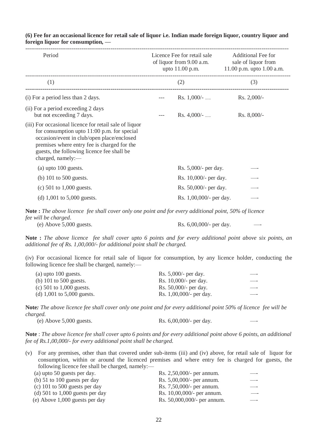| Period                                                                                                                                                                                                                                                                  | Licence Fee for retail sale<br>of liquor from 9.00 a.m.<br>upto $11.00$ p.m. |                         | <b>Additional Fee for</b><br>sale of liquor from<br>11.00 p.m. upto $1.00$ a.m. |
|-------------------------------------------------------------------------------------------------------------------------------------------------------------------------------------------------------------------------------------------------------------------------|------------------------------------------------------------------------------|-------------------------|---------------------------------------------------------------------------------|
| (1)                                                                                                                                                                                                                                                                     |                                                                              | (2)                     | (3)                                                                             |
| (i) For a period less than 2 days.                                                                                                                                                                                                                                      |                                                                              | Rs. $1,000/-.$          | $Rs. 2,000/-$                                                                   |
| (ii) For a period exceeding 2 days<br>but not exceeding 7 days.                                                                                                                                                                                                         |                                                                              | $Rs. 4,000/-.$          | Rs. 8,000/-                                                                     |
| (iii) For occasional licence for retail sale of liquor<br>for consumption upto $11:00$ p.m. for special<br>occasion/event in club/open place/enclosed<br>premises where entry fee is charged for the<br>guests, the following licence fee shall be<br>charged, namely:- |                                                                              |                         |                                                                                 |
| $(a)$ upto 100 guests.                                                                                                                                                                                                                                                  |                                                                              | Rs. 5,000/- per day.    |                                                                                 |
| (b) $101$ to $500$ guests.                                                                                                                                                                                                                                              |                                                                              | Rs. 10,000/- per day.   |                                                                                 |
| (c) $501$ to $1,000$ guests.                                                                                                                                                                                                                                            |                                                                              | Rs. 50,000/- per day.   |                                                                                 |
| (d) $1,001$ to $5,000$ guests.                                                                                                                                                                                                                                          |                                                                              | Rs. 1,00,000/- per day. |                                                                                 |

**(6) Fee for an occasional licence for retail sale of liquor i.e. Indian made foreign liquor, country liquor and foreign liquor for consumption, —**

**Note :** *The above licence fee shall cover only one point and for every additional point, 50% of licence fee will be charged*.

(e) Above 5,000 guests.  $\text{Rs. } 6,00,000/$ - per day.

**Note :** *The above licence fee shall cover upto 6 points and for every additional point above six points, an additional fee of Rs. 1,00,000/- for additional point shall be charged.*

(iv) For occasional licence for retail sale of liquor for consumption, by any licence holder, conducting the following licence fee shall be charged, namely:—

| $(a)$ upto 100 guests.         | Rs. $5,000/$ - per day.  |     |
|--------------------------------|--------------------------|-----|
| (b) $101$ to $500$ guests.     | Rs. $10,000/$ - per day. |     |
| (c) 501 to 1,000 guests.       | Rs. $50,000/$ - per day. | ___ |
| (d) $1,001$ to $5,000$ guests. | Rs. 1,00,000/- per day.  |     |

**Note***: The above licence fee shall cover only one point and for every additional point 50% of licence fee will be charged.*

(e) Above  $5,000$  guests. Rs.  $6,00,000/$ - per day.

**Note** : *The above licence fee shall cover upto 6 points and for every additional point above 6 points, an additional fee of Rs.1,00,000/- for every additional point shall be charged.*

(v) For any premises, other than that covered under sub-items (iii) and (iv) above, for retail sale of liquor for consumption, within or around the licenced premises and where entry fee is charged for guests, the following licence fee shall be charged, namely:—

| (a) upto 50 guests per day.         | Rs. 2,50,000/- per annum.   |  |
|-------------------------------------|-----------------------------|--|
| (b) $51$ to $100$ guests per day    | Rs. 5,00,000/- per annum.   |  |
| (c) 101 to 500 guests per day       | Rs. 7,50,000/- per annum.   |  |
| (d) $501$ to $1,000$ guests per day | Rs. 10,00,000/- per annum.  |  |
| $(e)$ Above 1,000 guests per day    | Rs. 50,000,000/- per annum. |  |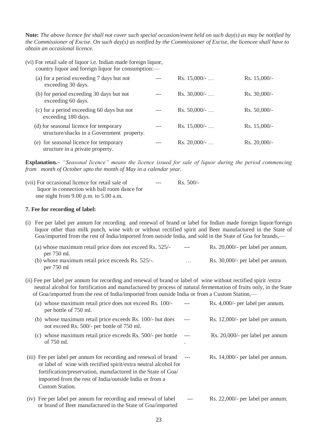**Note:** *The above licence fee shall not cover such special occasion/event held on such day(s) as may be notified by the Commissioner of Excise. On such day(s) as notified by the Commissioner of Excise, the licencee shall have to obtain an occasional licence.*

(vi) For retail sale of liquor i.e. Indian made foreign liquor, country liquor and foreign liquor for consumption:—

| (a) for a period exceeding 7 days but not<br>exceeding 30 days.                      | Rs. $15,000/-.$ | $Rs. 15,000/-$  |
|--------------------------------------------------------------------------------------|-----------------|-----------------|
| (b) for period exceeding 30 days but not<br>exceeding 60 days.                       | $Rs. 30,000/-.$ | $Rs. 30,000/-$  |
| (c) for a period exceeding 60 days but not<br>exceeding 180 days.                    | $Rs. 50,000/-.$ | $Rs. 50,000/$ - |
| (d) for seasonal licence for temporary<br>structure/shacks in a Government property. | $Rs. 15,000/-.$ | $Rs. 15,000/-$  |
| (e) for seasonal licence for temporary<br>structure in a private property.           | $Rs. 20,000/-.$ | Rs. 20,000/     |

**Explanation.–** *"Seasonal licence" means the licence issued for sale of liquor during the period commencing from month of October upto the month of May in a calendar year.*

| (vii) For occasional licence for retail sale of | $---$ | $\text{Rs.} 500/-$ |
|-------------------------------------------------|-------|--------------------|
| liquor in connection with ball room dance for   |       |                    |
| one night from $9.00$ p.m. to $5.00$ a.m.       |       |                    |

## **7. Fee for recording of label:**

(i) Fee per label per annum for recording and renewal of brand or label for Indian made foreign liquor/foreign liquor other than milk punch, wine with or without rectified spirit and Beer manufactured in the State of Goa/imported from the rest of India/imported from outside India, and sold in the State of Goa for brands,—

| (a) whose maximum retail price does not exceed Rs. 525/- | $---$    | Rs. 20,000/- per label per annum. |
|----------------------------------------------------------|----------|-----------------------------------|
| per 750 ml.                                              |          |                                   |
| (b) whose maximum retail price exceeds Rs. $525/-$ .     | $\cdots$ | Rs. 30,000/- per label per annum. |
| per $750$ ml                                             |          |                                   |

(ii) Fee per label per annum for recording and renewal of brand or label of wine without rectified spirit /extra neutral alcohol for fortification and manufactured by process of natural fermentation of fruits only, in the State of Goa/imported from the rest of India/imported from outside India or from a Custom Station,—

| (a) whose maximum retail price does not exceed Rs. 100/-<br>per bottle of 750 ml.                                                                                                                                                                                                          | Rs. 4,000/- per label per annum.  |
|--------------------------------------------------------------------------------------------------------------------------------------------------------------------------------------------------------------------------------------------------------------------------------------------|-----------------------------------|
| (b) whose maximum retail price exceeds Rs. 100/- but does<br>not exceed Rs. 500/- per bottle of 750 ml.                                                                                                                                                                                    | Rs. 12,000/- per label per annum. |
| (c) whose maximum retail price exceeds Rs. 500/- per bottle<br>of $750$ ml.                                                                                                                                                                                                                | Rs. 20,000/- per label per annum  |
| (iii) Fee per label per annum for recording and renewal of brand<br>or label of wine with rectified spirit/extra neutral alcohol for<br>fortification/preservation, manufactured in the State of Goa/<br>imported from the rest of India/outside India or from a<br><b>Custom Station.</b> | Rs. 14,000/- per label per annum. |
| (iv) Fee per label per annum for recording and renewal of label<br>or brand of Beer manufactured in the State of Goa/imported                                                                                                                                                              | Rs. 22,000/- per label per annum. |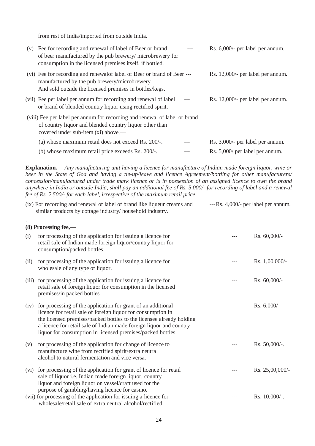from rest of India/imported from outside India.

.

| (v) | Fee for recording and renewal of label of Beer or brand<br>of beer manufactured by the pub brewery/microbrewery for<br>consumption in the licensed premises itself, if bottled.     | Rs. 6,000/- per label per annum.  |
|-----|-------------------------------------------------------------------------------------------------------------------------------------------------------------------------------------|-----------------------------------|
|     | (vi) Fee for recording and renewal of label of Beer or brand of Beer ---<br>manufactured by the pub brewery/microbrewery<br>And sold outside the licensed premises in bottles/kegs. | Rs. 12,000/- per label per annum. |
|     | (vii) Fee per label per annum for recording and renewal of label<br>or brand of blended country liquor using rectified spirit.                                                      | Rs. 12,000/- per label per annum. |
|     | (viii) Fee per label per annum for recording and renewal of label or brand<br>of country liquor and blended country liquor other than<br>covered under sub-item (xi) above,—        |                                   |
|     | (a) whose maximum retail does not exceed Rs. 200/-.                                                                                                                                 | Rs. 3,000/- per label per annum.  |
|     | (b) whose maximum retail price exceeds Rs. 200/-.                                                                                                                                   | Rs. 5,000/ per label per annum.   |

**Explanation.—** *Any manufacturing unit having a licence for manufacture of Indian made foreign liquor, wine or beer in the State of Goa and having a tie-up/leave and licence Agreement/bottling for other manufacturers/ concession/manufactured under trade mark licence or is in possession of an assigned licence to own the brand anywhere in India or outside India, shall pay an additional fee of Rs. 5,000/- for recording of label and a renewal fee of Rs. 2,500/- for each label, irrespective of the maximum retail price.*

| (ix) For recording and renewal of label of brand like liqueur creams and | $-$ -Rs. 4,000/- per label per annum. |
|--------------------------------------------------------------------------|---------------------------------------|
| similar products by cottage industry/ household industry.                |                                       |

# **(8) Processing fee,—** (i) for processing of the application for issuing a licence for  $\sim$  -- Rs. 60,000/retail sale of Indian made foreign liquor/country liquor for consumption/packed bottles. (ii) for processing of the application for issuing a licence for --- Rs. 1,00,000/wholesale of any type of liquor. (iii) for processing of the application for issuing a licence for --- Rs. 60,000/retail sale of foreign liquor for consumption in the licensed premises/in packed bottles. (iv) for processing of the application for grant of an additional --- Rs. 6,000/ licence for retail sale of foreign liquor for consumption in the licensed premises/packed bottles to the licensee already holding a licence for retail sale of Indian made foreign liquor and country liquor for consumption in licensed premises/packed bottles. (v) for processing of the application for change of licence to --- Rs. 50,000/-. manufacture wine from rectified spirit/extra neutral alcohol to natural fermentation and vice versa. (vi) for processing of the application for grant of licence for retail --- Rs. 25,00,000/ sale of liquor i.e. Indian made foreign liquor, country liquor and foreign liquor on vessel/craft used for the purpose of gambling/having licence for casino. (vii) for processing of the application for issuing a licence for --- Rs. 10,000/-.

wholesale/retail sale of extra neutral alcohol/rectified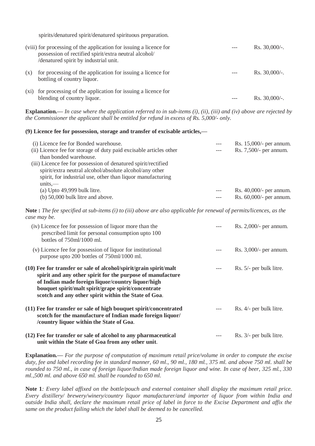spirits/denatured spirit/denatured spirituous preparation.

|      | (viii) for processing of the application for issuing a licence for<br>possession of rectified spirit/extra neutral alcohol/<br>/denatured spirit by industrial unit. | $Rs. 30,000/-.$  |
|------|----------------------------------------------------------------------------------------------------------------------------------------------------------------------|------------------|
| (X)  | for processing of the application for issuing a licence for<br>bottling of country liquor.                                                                           | Rs. $30,000/$ -. |
| (X1) | for processing of the application for issuing a licence for<br>blending of country liquor.                                                                           | $Rs. 30,000/-.$  |

**Explanation.—** *In case where the application referred to in sub-items (i), (ii), (iii) and (iv) above are rejected by the Commissioner the applicant shall be entitled for refund in excess of Rs. 5,000/- only.*

### **(9) Licence fee for possession, storage and transfer of excisable articles,—**

| (i) Licence fee for Bonded warehouse.<br>(ii) Licence fee for storage of duty paid excisable articles other<br>than bonded warehouse.<br>(iii) Licence fee for possession of denatured spirit/rectified<br>spirit/extra neutral alcohol/absolute alcohol/any other<br>spirit, for industrial use, other than liquor manufacturing<br>$units$ — | $---$ | Rs. 15,000/- per annum.<br>Rs. 7,500/- per annum.     |
|------------------------------------------------------------------------------------------------------------------------------------------------------------------------------------------------------------------------------------------------------------------------------------------------------------------------------------------------|-------|-------------------------------------------------------|
| $(a)$ Upto 49,999 bulk litre.<br>(b) 50,000 bulk litre and above.                                                                                                                                                                                                                                                                              | $---$ | Rs. $40,000/$ - per annum.<br>Rs. 60,000/- per annum. |

**Note :** *The fee specified at sub-items (i) to (iii) above are also applicable for renewal of permits/licences, as the case may be.*

| (iv) Licence fee for possession of liquor more than the<br>prescribed limit for personal consumption upto 100<br>bottles of 750ml/1000 ml.                                                                                                                                                            | Rs. 2,000/- per annum.  |
|-------------------------------------------------------------------------------------------------------------------------------------------------------------------------------------------------------------------------------------------------------------------------------------------------------|-------------------------|
| (v) Licence fee for possession of liquor for institutional<br>purpose upto 200 bottles of 750ml/1000 ml.                                                                                                                                                                                              | Rs. 3,000/- per annum.  |
| $(10)$ Fee for transfer or sale of alcohol/spirit/grain spirit/malt<br>spirit and any other spirit for the purpose of manufacture<br>of Indian made foreign liquor/country liquor/high<br>bouquet spirit/malt spirit/grape spirit/concentrate<br>scotch and any other spirit within the State of Goa. | Rs. 5/- per bulk litre. |
| (11) Fee for transfer or sale of high bouquet spirit/concentrated<br>scotch for the manufacture of Indian made foreign liquor/<br>/country liquor within the State of Goa.                                                                                                                            | Rs. 4/- per bulk litre. |
| (12) Fee for transfer or sale of alcohol to any pharmaceutical<br>unit within the State of Goa from any other unit.                                                                                                                                                                                   | Rs. 3/- per bulk litre. |

**Explanation.—** *For the purpose of computation of maximum retail price/volume in order to compute the excise duty, fee and label recording fee in standard manner, 60 ml., 90 ml., 180 ml., 375 ml. and above 750 ml. shall be rounded to 750 ml., in case of foreign liquor/Indian made foreign liquor and wine. In case of beer, 325 ml., 330 ml.,500 ml. and above 650 ml. shall be rounded to 650 ml.*

**Note 1***: Every label affixed on the bottle/pouch and external container shall display the maximum retail price. Every distillery/ brewery/winery/country liquor manufacturer/and importer of liquor from within India and outside India shall, declare the maximum retail price of label in force to the Excise Department and affix the same on the product failing which the label shall be deemed to be cancelled.*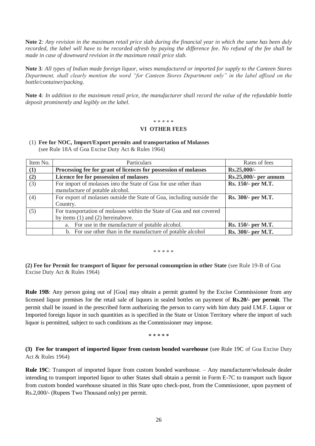**Note 2***: Any revision in the maximum retail price slab during the financial year in which the same has been duly recorded, the label will have to be recorded afresh by paying the difference fee. No refund of the fee shall be made in case of downward revision in the maximum retail price slab.*

**Note 3***: All types of Indian made foreign liquor, wines manufactured or imported for supply to the Canteen Stores Department, shall clearly mention the word "for Canteen Stores Department only" in the label affixed on the bottle/container/packing.*

**Note 4***: In addition to the maximum retail price, the manufacturer shall record the value of the refundable bottle deposit prominently and legibly on the label.*

### \* \* \* \* \*

### **VI OTHER FEES**

| (1) Fee for NOC, Import/Export permits and transportation of Molasses |
|-----------------------------------------------------------------------|
| (see Rule 18A of Goa Excise Duty Act & Rules 1964)                    |

| Item No. | Particulars                                                            | Rates of fees         |
|----------|------------------------------------------------------------------------|-----------------------|
| (1)      | Processing fee for grant of licences for possession of molasses        | Rs.25,000/-           |
| (2)      | Licence fee for possession of molasses                                 | Rs.25,000/- per annum |
| (3)      | For import of molasses into the State of Goa for use other than        | Rs. 150/- per M.T.    |
|          | manufacture of potable alcohol.                                        |                       |
| (4)      | For export of molasses outside the State of Goa, including outside the | Rs. 300/- per M.T.    |
|          | Country.                                                               |                       |
| (5)      | For transportation of molasses within the State of Goa and not covered |                       |
|          | by items $(1)$ and $(2)$ hereinabove.                                  |                       |
|          | a. For use in the manufacture of potable alcohol.                      | Rs. 150/- per M.T.    |
|          | b. For use other than in the manufacture of potable alcohol            | Rs. 300/- per M.T.    |

\* \* \* \* \*

**(2) Fee for Permit for transport of liquor for personal consumption in other State** (see Rule 19-B of Goa Excise Duty Act & Rules 1964)

**Rule 19B**: Any person going out of [Goa] may obtain a permit granted by the Excise Commissioner from any licensed liquor premises for the retail sale of liquors in sealed bottles on payment of **Rs.20/- per permit**. The permit shall be issued in the prescribed form authorizing the person to carry with him duty paid I.M.F. Liquor or Imported foreign liquor in such quantities as is specified in the State or Union Territory where the import of such liquor is permitted, subject to such conditions as the Commissioner may impose.

**\* \* \* \* \***

**(3) Fee for transport of imported liquor from custom bonded warehouse** (see Rule 19C of Goa Excise Duty Act & Rules 1964)

**Rule 19C**: Transport of imported liquor from custom bonded warehouse. – Any manufacturer/wholesale dealer intending to transport imported liquor to other States shall obtain a permit in Form E-7C to transport such liquor from custom bonded warehouse situated in this State upto check-post, from the Commissioner, upon payment of Rs.2,000/- (Rupees Two Thousand only) per permit.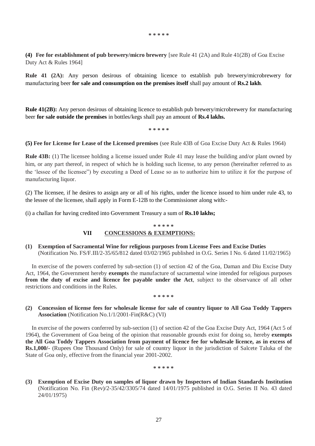**\* \* \* \* \***

**(4) Fee for establishment of pub brewery/micro brewery** [see Rule 41 (2A) and Rule 41(2B) of Goa Excise Duty Act & Rules 1964]

**Rule 41 (2A):** Any person desirous of obtaining licence to establish pub brewery/microbrewery for manufacturing beer **for sale and consumption on the premises itself** shall pay amount of **Rs.2 lakh**.

**Rule 41(2B):** Any person desirous of obtaining licence to establish pub brewery/microbrewery for manufacturing beer **for sale outside the premises** in bottles/kegs shall pay an amount of **Rs.4 lakhs.**

**\* \* \* \* \***

**(5) Fee for License for Lease of the Licensed premises** (see Rule 43B of Goa Excise Duty Act & Rules 1964)

**Rule 43B:** (1) The licensee holding a license issued under Rule 41 may lease the building and/or plant owned by him, or any part thereof, in respect of which he is holding such license, to any person (hereinafter referred to as the 'lessee of the licensee") by executing a Deed of Lease so as to authorize him to utilize it for the purpose of manufacturing liquor.

(2) The licensee, if he desires to assign any or all of his rights, under the licence issued to him under rule 43, to the lessee of the licensee, shall apply in Form E-12B to the Commissioner along with:-

(i) a challan for having credited into Government Treasury a sum of **Rs.10 lakhs;**

#### **\* \* \* \* \***

# **VII CONCESSIONS & EXEMPTIONS:**

**(1) Exemption of Sacramental Wine for religious purposes from License Fees and Excise Duties** (Notification No. FS/F.III/2-35/65/812 dated 03/02/1965 published in O.G. Series I No. 6 dated 11/02/1965)

In exercise of the powers conferred by sub-section (1) of section 42 of the Goa, Daman and Diu Excise Duty Act, 1964, the Government hereby **exempts** the manufacture of sacramental wine intended for religious purposes **from the duty of excise and licence fee payable under the Act**, subject to the observance of all other restrictions and conditions in the Rules.

### **\* \* \* \* \***

# **(2) Concession of license fees for wholesale license for sale of country liquor to All Goa Toddy Tappers Association** (Notification No.1/1/2001-Fin(R&C) (VI)

In exercise of the powers conferred by sub-section (1) of section 42 of the Goa Excise Duty Act, 1964 (Act 5 of 1964), the Government of Goa being of the opinion that reasonable grounds exist for doing so, hereby **exempts the All Goa Toddy Tappers Association from payment of licence fee for wholesale licence, as in excess of Rs.1,000/-** (Rupees One Thousand Only) for sale of country liquor in the jurisdiction of Salcete Taluka of the State of Goa only, effective from the financial year 2001-2002.

**\* \* \* \* \***

**(3) Exemption of Excise Duty on samples of liquor drawn by Inspectors of Indian Standards Institution** (Notification No. Fin (Rev)/2-35/42/3305/74 dated 14/01/1975 published in O.G. Series II No. 43 dated 24/01/1975)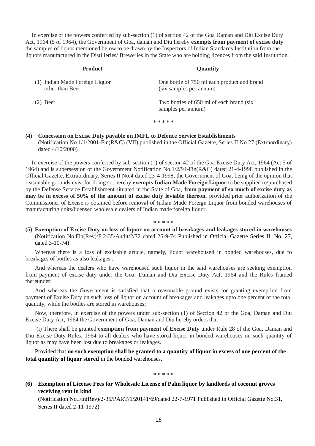In exercise of the powers conferred by sub-section (1) of section 42 of the Goa Daman and Diu Excise Duty Act, 1964 (5 of 1964), the Government of Goa, daman and Diu hereby **exempts from payment of excise duty** the samples of liquor mentioned below to be drawn by the Inspectors of Indian Standards Institution from the liquors manufactured in the Distilleries/ Breweries in the State who are holding licences from the said Institution.

| <b>Product</b>                                    | <b>Quantity</b>                                                        |
|---------------------------------------------------|------------------------------------------------------------------------|
| (1) Indian Made Foreign Liquor<br>other than Beer | One bottle of 750 ml each product and brand<br>(six samples per annum) |
| $(2)$ Beer                                        | Two bottles of 650 ml of each brand (six)<br>samples per annum)        |
|                                                   | * * * * *                                                              |

# **(4) Concession on Excise Duty payable on IMFL to Defence Service Establishments** (Notification No.1/1/2001-Fin(R&C) (VII) published in the Official Gazette, Series II No.27 (Extraordinary) dated 4/10/2000)

In exercise of the powers conferred by sub-section (1) of section 42 of the Goa Excise Duty Act, 1964 (Act 5 of 1964) and is supersession of the Government Notification No.1/2/94-Fin(R&C) dated 21-4-1998 published in the Official Gazette, Extraordinary, Series II No.4 dated 23-4-1998, the Government of Goa, being of the opinion that reasonable grounds exist for doing so, hereby **exempts Indian Made Foreign Liquor** to be supplied to/purchased by the Defense Service Establishment situated in the State of Goa, **from payment of so much of excise duty as may be in excess of 50% of the amount of excise duty leviable thereon**, provided prior authorization of the Commissioner of Excise is obtained before removal of Indian Made Foreign Liquor from bonded warehouses of manufacturing units/licensed wholesale dealers of Indian made foreign liquor.

### **\* \* \* \* \***

**(5) Exemption of Excise Duty on loss of liquor on account of breakages and leakages stored in warehouses** (Notification No.Fin(Rev)/F.2-35/Audit/2/72 dated 26-9-74 Published in Official Gazette Series II, No. 27, dated 3-10-74)

Whereas there is a loss of excisable article, namely, liquor warehoused in bonded warehouses, due to breakages of bottles as also leakages ;

And whereas the dealers who have warehoused such liquor in the said warehouses are seeking exemption from payment of excise duty under the Goa, Daman and Diu Excise Duty Act, 1964 and the Rules framed thereunder;

And whereas the Government is satisfied that a reasonable ground exists for granting exemption from payment of Excise Duty on such loss of liquor on account of breakages and leakages upto one percent of the total quantity, while the bottles are stored in warehouses;

Now, therefore, in exercise of the powers under sub-section (1) of Section 42 of the Goa, Daman and Diu Excise Duty Act, 1964 the Government of Goa, Daman and Diu hereby orders that---

(i) There shall be granted **exemption from payment of Excise Duty** under Rule 28 of the Goa, Daman and Diu Excise Duty Rules, 1964 to all dealers who have stored liquor in bonded warehouses on such quantity of liquor as may have been lost due to breakages or leakages.

Provided that **no such exemption shall be granted to a quantity of liquor in excess of one percent of the total quantity of liquor stored** in the bonded warehouses.

**\* \* \* \* \***

# **(6) Exemption of License Fees for Wholesale License of Palm liquor by landlords of coconut groves receiving rent in kind**

(Notification No.Fin(Rev)/2-35/PART/1/20141/69/dated 22-7-1971 Published in Official Gazette No.31, Series II dated 2-11-1972)